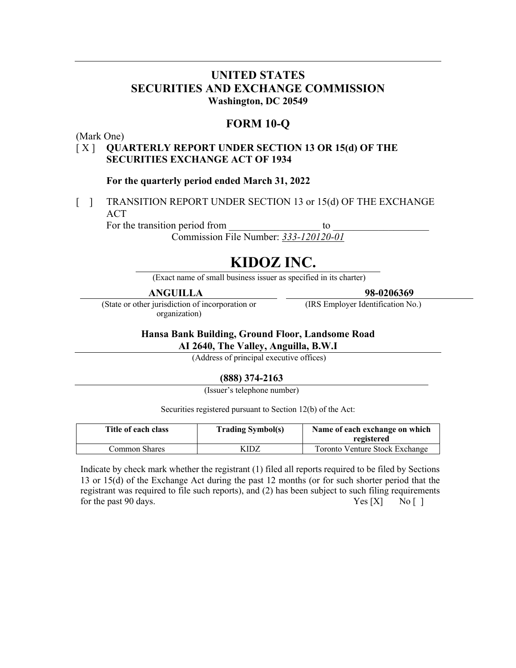## **UNITED STATES SECURITIES AND EXCHANGE COMMISSION Washington, DC 20549**

## **FORM 10-Q**

(Mark One)

### [ X ] **QUARTERLY REPORT UNDER SECTION 13 OR 15(d) OF THE SECURITIES EXCHANGE ACT OF 1934**

#### **For the quarterly period ended March 31, 2022**

[ ] TRANSITION REPORT UNDER SECTION 13 or 15(d) OF THE EXCHANGE ACT

For the transition period from to  $\sim$ Commission File Number: *333-120120-01*

# **KIDOZ INC.**

(Exact name of small business issuer as specified in its charter)

### **ANGUILLA**

(State or other jurisdiction of incorporation or organization)

**98-0206369**

(IRS Employer Identification No.)

## **Hansa Bank Building, Ground Floor, Landsome Road**

**AI 2640, The Valley, Anguilla, B.W.I**

(Address of principal executive offices)

### **(888) 374-2163**

(Issuer's telephone number)

Securities registered pursuant to Section 12(b) of the Act:

| Title of each class | <b>Trading Symbol(s)</b> | Name of each exchange on which<br>registered |
|---------------------|--------------------------|----------------------------------------------|
| Common Shares       | KIDZ                     | Toronto Venture Stock Exchange               |

Indicate by check mark whether the registrant (1) filed all reports required to be filed by Sections 13 or 15(d) of the Exchange Act during the past 12 months (or for such shorter period that the registrant was required to file such reports), and (2) has been subject to such filing requirements for the past 90 days.  $\begin{bmatrix} Y \end{bmatrix}$   $\begin{bmatrix} Y \end{bmatrix}$   $\begin{bmatrix} Y \end{bmatrix}$   $\begin{bmatrix} Y \end{bmatrix}$   $\begin{bmatrix} Y \end{bmatrix}$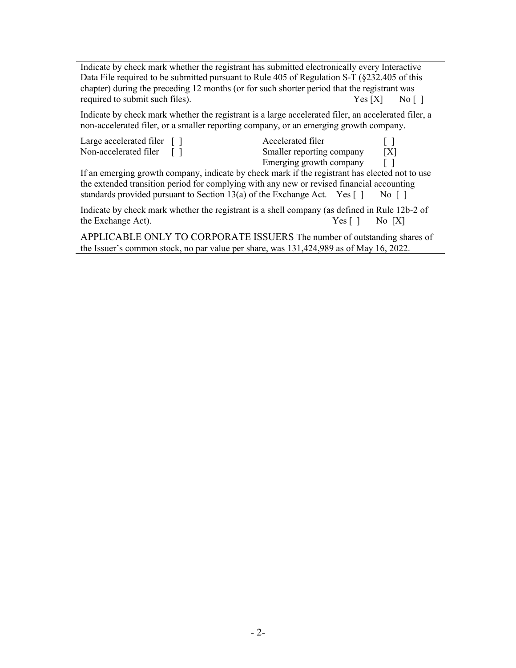Indicate by check mark whether the registrant has submitted electronically every Interactive Data File required to be submitted pursuant to Rule 405 of Regulation S-T (§232.405 of this chapter) during the preceding 12 months (or for such shorter period that the registrant was required to submit such files).  $Yes [X]$  No [ ]

Indicate by check mark whether the registrant is a large accelerated filer, an accelerated filer, a non-accelerated filer, or a smaller reporting company, or an emerging growth company.

| Large accelerated filer $\lceil \cdot \rceil$ | Accelerated filer         |     |
|-----------------------------------------------|---------------------------|-----|
| Non-accelerated filer                         | Smaller reporting company | [X] |
|                                               | Emerging growth company   |     |

If an emerging growth company, indicate by check mark if the registrant has elected not to use the extended transition period for complying with any new or revised financial accounting standards provided pursuant to Section 13(a) of the Exchange Act. Yes  $\lceil \cdot \rceil$  No  $\lceil \cdot \rceil$ 

Indicate by check mark whether the registrant is a shell company (as defined in Rule 12b-2 of the Exchange Act).  $\qquad \qquad \text{Yes} \begin{bmatrix} \end{bmatrix} \qquad \text{No} \begin{bmatrix} X \end{bmatrix}$ 

APPLICABLE ONLY TO CORPORATE ISSUERS The number of outstanding shares of the Issuer's common stock, no par value per share, was 131,424,989 as of May 16, 2022.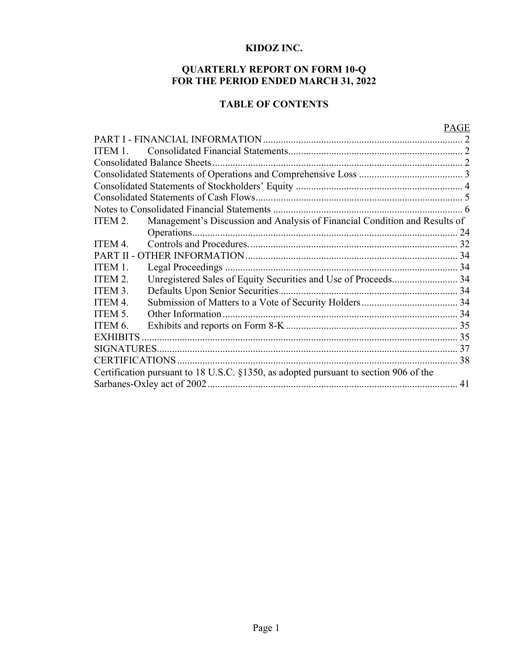## **KIDOZ INC.**

### **QUARTERLY REPORT ON FORM 10-Q FOR THE PERIOD ENDED MARCH 31, 2022**

## **TABLE OF CONTENTS**

## PAGE

| ITEM 1. |                                                                                      |  |
|---------|--------------------------------------------------------------------------------------|--|
|         | Consolidated Balance Sheets.                                                         |  |
|         |                                                                                      |  |
|         |                                                                                      |  |
|         |                                                                                      |  |
|         |                                                                                      |  |
| ITEM 2. | Management's Discussion and Analysis of Financial Condition and Results of           |  |
|         |                                                                                      |  |
| ITEM 4. |                                                                                      |  |
|         |                                                                                      |  |
| ITEM 1. | Legal Proceedings.                                                                   |  |
| ITEM 2. | Unregistered Sales of Equity Securities and Use of Proceeds 34                       |  |
| ITEM 3. |                                                                                      |  |
| ITEM 4. |                                                                                      |  |
| ITEM 5. | Other Information                                                                    |  |
| ITEM 6. |                                                                                      |  |
|         |                                                                                      |  |
|         |                                                                                      |  |
|         |                                                                                      |  |
|         | Certification pursuant to 18 U.S.C. §1350, as adopted pursuant to section 906 of the |  |
|         |                                                                                      |  |
|         |                                                                                      |  |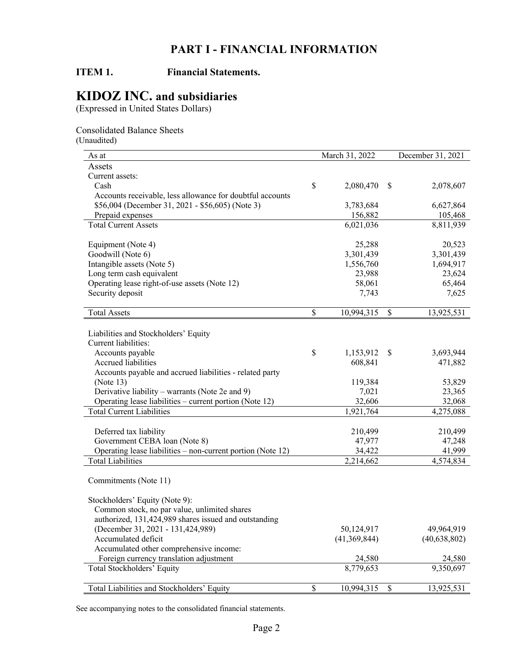## **PART I - FINANCIAL INFORMATION**

## **ITEM 1. Financial Statements.**

## **KIDOZ INC. and subsidiaries**

(Expressed in United States Dollars)

Consolidated Balance Sheets (Unaudited)

| As at                                                       |              | March 31, 2022 |      | December 31, 2021 |
|-------------------------------------------------------------|--------------|----------------|------|-------------------|
| Assets                                                      |              |                |      |                   |
| Current assets:                                             |              |                |      |                   |
| Cash                                                        | \$           | 2,080,470      | \$   | 2,078,607         |
| Accounts receivable, less allowance for doubtful accounts   |              |                |      |                   |
| \$56,004 (December 31, 2021 - \$56,605) (Note 3)            |              | 3,783,684      |      | 6,627,864         |
| Prepaid expenses                                            |              | 156,882        |      | 105,468           |
| <b>Total Current Assets</b>                                 |              | 6,021,036      |      | 8,811,939         |
|                                                             |              |                |      |                   |
| Equipment (Note 4)                                          |              | 25,288         |      | 20,523            |
| Goodwill (Note 6)                                           |              | 3,301,439      |      | 3,301,439         |
| Intangible assets (Note 5)                                  |              | 1,556,760      |      | 1,694,917         |
| Long term cash equivalent                                   |              | 23,988         |      | 23,624            |
| Operating lease right-of-use assets (Note 12)               |              | 58,061         |      | 65,464            |
| Security deposit                                            |              | 7,743          |      | 7,625             |
| <b>Total Assets</b>                                         | \$           | 10,994,315     | \$   | 13,925,531        |
|                                                             |              |                |      |                   |
| Liabilities and Stockholders' Equity                        |              |                |      |                   |
| Current liabilities:                                        |              |                |      |                   |
| Accounts payable                                            | \$           | 1,153,912      | \$   | 3,693,944         |
| <b>Accrued liabilities</b>                                  |              | 608,841        |      | 471,882           |
| Accounts payable and accrued liabilities - related party    |              |                |      |                   |
| (Note $13$ )                                                |              | 119,384        |      | 53,829            |
| Derivative liability – warrants (Note 2e and 9)             |              | 7,021          |      | 23,365            |
| Operating lease liabilities – current portion (Note 12)     |              | 32,606         |      | 32,068            |
| <b>Total Current Liabilities</b>                            |              | 1,921,764      |      | 4,275,088         |
|                                                             |              |                |      |                   |
| Deferred tax liability                                      |              | 210,499        |      | 210,499           |
| Government CEBA loan (Note 8)                               |              | 47,977         |      | 47,248            |
| Operating lease liabilities – non-current portion (Note 12) |              | 34,422         |      | 41,999            |
| <b>Total Liabilities</b>                                    |              | 2,214,662      |      | 4,574,834         |
|                                                             |              |                |      |                   |
| Commitments (Note 11)                                       |              |                |      |                   |
| Stockholders' Equity (Note 9):                              |              |                |      |                   |
| Common stock, no par value, unlimited shares                |              |                |      |                   |
| authorized, 131,424,989 shares issued and outstanding       |              |                |      |                   |
| (December 31, 2021 - 131, 424, 989)                         |              | 50,124,917     |      | 49,964,919        |
| Accumulated deficit                                         |              | (41,369,844)   |      | (40, 638, 802)    |
| Accumulated other comprehensive income:                     |              |                |      |                   |
|                                                             |              |                |      |                   |
| Foreign currency translation adjustment                     |              | 24,580         |      | 24,580            |
| Total Stockholders' Equity                                  |              | 8,779,653      |      | 9,350,697         |
| Total Liabilities and Stockholders' Equity                  | $\mathbb{S}$ | 10,994,315     | $\$$ | 13,925,531        |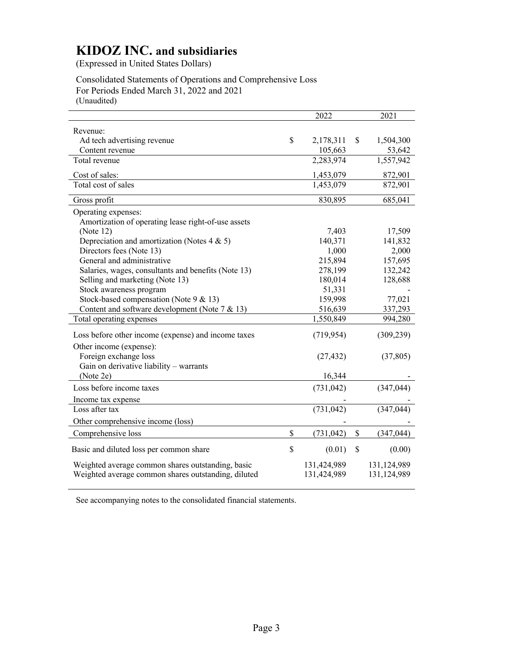(Expressed in United States Dollars)

Consolidated Statements of Operations and Comprehensive Loss For Periods Ended March 31, 2022 and 2021 (Unaudited)

2022 2021 Revenue: Ad tech advertising revenue  $\qquad \qquad$  \$ 2,178,311 \$ 1,504,300 Content revenue 105,663 53,642 Total revenue 2,283,974 1,557,942 Cost of sales: 1,453,079 872,901 Total cost of sales 1,453,079 872,901 Gross profit 685,041 Operating expenses: Amortization of operating lease right-of-use assets (Note 12) 7,403 17,509 Depreciation and amortization (Notes  $4 \& 5$ ) 140,371 141,832 Directors fees (Note 13) 1,000 2,000 General and administrative 215,894 157,695 Salaries, wages, consultants and benefits (Note 13) 278,199 132,242 Selling and marketing (Note 13) 180,014 128,688 Stock awareness program 51,331 Stock-based compensation (Note 9 & 13) 159,998 77,021 Content and software development (Note 7 & 13) 516,639 337,293 Total operating expenses 1,550,849 994,280 Loss before other income (expense) and income taxes (719,954) (309,239) Other income (expense): Foreign exchange loss (27,432) (37,805) Gain on derivative liability – warrants (Note 2e)  $16,344$  -Loss before income taxes (731,042) (347,044) Income tax expense Loss after tax (731,042) (347,044) Other comprehensive income (loss) Comprehensive loss \$ (731,042) \$ (347,044) Basic and diluted loss per common share \$ (0.01) \$ (0.00) Weighted average common shares outstanding, basic 131,424,989 131,124,989 Weighted average common shares outstanding, diluted 131,424,989 131,124,989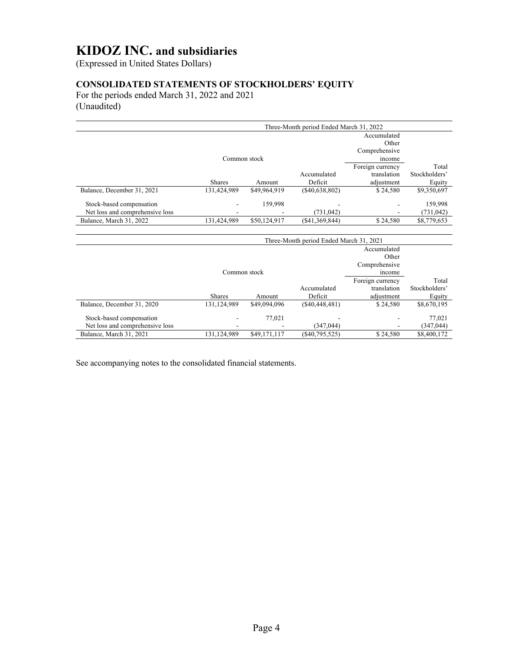(Expressed in United States Dollars)

## **CONSOLIDATED STATEMENTS OF STOCKHOLDERS' EQUITY**

For the periods ended March 31, 2022 and 2021 (Unaudited)

| Three-Month period Ended March 31, 2022 |               |              |                 |                  |               |  |  |  |
|-----------------------------------------|---------------|--------------|-----------------|------------------|---------------|--|--|--|
|                                         |               |              |                 | Accumulated      |               |  |  |  |
|                                         | Other         |              |                 |                  |               |  |  |  |
|                                         |               |              |                 | Comprehensive    |               |  |  |  |
|                                         | Common stock  |              |                 | income           |               |  |  |  |
|                                         |               |              |                 | Foreign currency | Total         |  |  |  |
|                                         |               |              | Accumulated     | translation      | Stockholders' |  |  |  |
|                                         | <b>Shares</b> | Amount       | Deficit         | adiustment       | Equity        |  |  |  |
| Balance, December 31, 2021              | 131,424,989   | \$49,964,919 | (S40, 638, 802) | \$24,580         | \$9,350,697   |  |  |  |
| Stock-based compensation                |               | 159.998      |                 |                  | 159,998       |  |  |  |
| Net loss and comprehensive loss         |               |              | (731, 042)      |                  | (731, 042)    |  |  |  |
| Balance, March 31, 2022                 | 131,424,989   | \$50,124,917 | (S41, 369, 844) | \$24,580         | \$8,779,653   |  |  |  |

|                                 | Three-Month period Ended March 31, 2021 |              |                  |                  |               |  |  |  |
|---------------------------------|-----------------------------------------|--------------|------------------|------------------|---------------|--|--|--|
|                                 |                                         |              |                  | Accumulated      |               |  |  |  |
|                                 | Other                                   |              |                  |                  |               |  |  |  |
|                                 |                                         |              |                  | Comprehensive    |               |  |  |  |
|                                 | income                                  |              |                  |                  |               |  |  |  |
|                                 |                                         |              |                  | Foreign currency | Total         |  |  |  |
|                                 |                                         |              | Accumulated      | translation      | Stockholders' |  |  |  |
|                                 | <b>Shares</b>                           | Amount       | Deficit          | adjustment       | Equity        |  |  |  |
| Balance, December 31, 2020      | 131,124,989                             | \$49,094,096 | (S40, 448, 481)  | \$24,580         | \$8,670,195   |  |  |  |
| Stock-based compensation        |                                         | 77.021       |                  |                  | 77,021        |  |  |  |
| Net loss and comprehensive loss |                                         |              | (347.044)        |                  | (347, 044)    |  |  |  |
| Balance, March 31, 2021         | 131.124.989                             | \$49,171,117 | $(\$40,795,525)$ | \$24,580         | \$8,400,172   |  |  |  |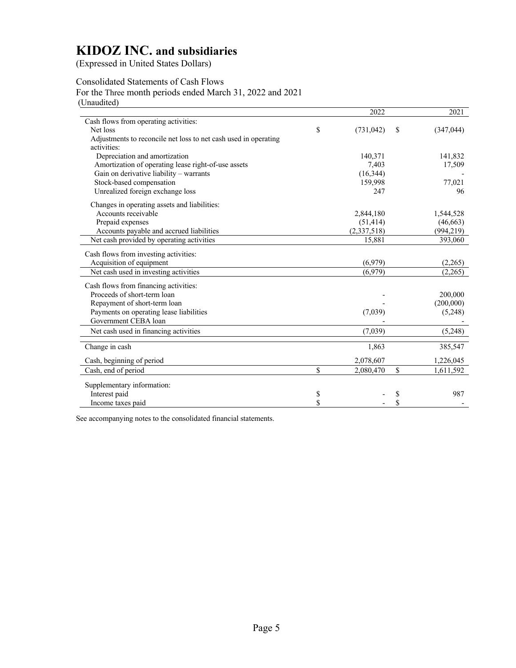(Expressed in United States Dollars)

## Consolidated Statements of Cash Flows

For the Three month periods ended March 31, 2022 and 2021 (Unaudited)

|                                                                 | 2022             | 2021             |
|-----------------------------------------------------------------|------------------|------------------|
| Cash flows from operating activities:                           |                  |                  |
| Net loss                                                        | \$<br>(731, 042) | \$<br>(347, 044) |
| Adjustments to reconcile net loss to net cash used in operating |                  |                  |
| activities:                                                     |                  |                  |
| Depreciation and amortization                                   | 140,371          | 141,832          |
| Amortization of operating lease right-of-use assets             | 7,403            | 17,509           |
| Gain on derivative liability - warrants                         | (16, 344)        |                  |
| Stock-based compensation                                        | 159,998          | 77,021           |
| Unrealized foreign exchange loss                                | 247              | 96               |
| Changes in operating assets and liabilities:                    |                  |                  |
| Accounts receivable                                             | 2,844,180        | 1,544,528        |
| Prepaid expenses                                                | (51, 414)        | (46, 663)        |
| Accounts payable and accrued liabilities                        | (2,337,518)      | (994, 219)       |
| Net cash provided by operating activities                       | 15,881           | 393,060          |
| Cash flows from investing activities:                           |                  |                  |
| Acquisition of equipment                                        | (6,979)          | (2,265)          |
| Net cash used in investing activities                           | (6,979)          | (2,265)          |
| Cash flows from financing activities:                           |                  |                  |
| Proceeds of short-term loan                                     |                  | 200,000          |
| Repayment of short-term loan                                    |                  | (200,000)        |
| Payments on operating lease liabilities                         | (7,039)          | (5,248)          |
| Government CEBA loan                                            |                  |                  |
| Net cash used in financing activities                           | (7,039)          | (5,248)          |
| Change in cash                                                  | 1,863            | 385,547          |
|                                                                 |                  |                  |
| Cash, beginning of period                                       | 2,078,607        | 1,226,045        |
| Cash, end of period                                             | \$<br>2,080,470  | \$<br>1,611,592  |
| Supplementary information:                                      |                  |                  |
| Interest paid                                                   | \$               | \$<br>987        |
| Income taxes paid                                               | \$               | \$               |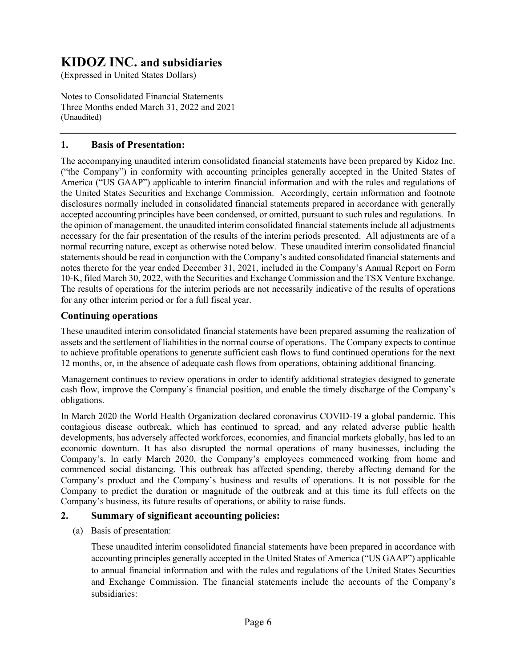(Expressed in United States Dollars)

Notes to Consolidated Financial Statements Three Months ended March 31, 2022 and 2021 (Unaudited)

### **1. Basis of Presentation:**

The accompanying unaudited interim consolidated financial statements have been prepared by Kidoz Inc. ("the Company") in conformity with accounting principles generally accepted in the United States of America ("US GAAP") applicable to interim financial information and with the rules and regulations of the United States Securities and Exchange Commission. Accordingly, certain information and footnote disclosures normally included in consolidated financial statements prepared in accordance with generally accepted accounting principles have been condensed, or omitted, pursuant to such rules and regulations. In the opinion of management, the unaudited interim consolidated financial statements include all adjustments necessary for the fair presentation of the results of the interim periods presented. All adjustments are of a normal recurring nature, except as otherwise noted below. These unaudited interim consolidated financial statements should be read in conjunction with the Company's audited consolidated financial statements and notes thereto for the year ended December 31, 2021, included in the Company's Annual Report on Form 10-K, filed March 30, 2022, with the Securities and Exchange Commission and the TSX Venture Exchange. The results of operations for the interim periods are not necessarily indicative of the results of operations for any other interim period or for a full fiscal year.

### **Continuing operations**

These unaudited interim consolidated financial statements have been prepared assuming the realization of assets and the settlement of liabilities in the normal course of operations. The Company expects to continue to achieve profitable operations to generate sufficient cash flows to fund continued operations for the next 12 months, or, in the absence of adequate cash flows from operations, obtaining additional financing.

Management continues to review operations in order to identify additional strategies designed to generate cash flow, improve the Company's financial position, and enable the timely discharge of the Company's obligations.

In March 2020 the World Health Organization declared coronavirus COVID-19 a global pandemic. This contagious disease outbreak, which has continued to spread, and any related adverse public health developments, has adversely affected workforces, economies, and financial markets globally, has led to an economic downturn. It has also disrupted the normal operations of many businesses, including the Company's. In early March 2020, the Company's employees commenced working from home and commenced social distancing. This outbreak has affected spending, thereby affecting demand for the Company's product and the Company's business and results of operations. It is not possible for the Company to predict the duration or magnitude of the outbreak and at this time its full effects on the Company's business, its future results of operations, or ability to raise funds.

### **2. Summary of significant accounting policies:**

(a) Basis of presentation:

These unaudited interim consolidated financial statements have been prepared in accordance with accounting principles generally accepted in the United States of America ("US GAAP") applicable to annual financial information and with the rules and regulations of the United States Securities and Exchange Commission. The financial statements include the accounts of the Company's subsidiaries: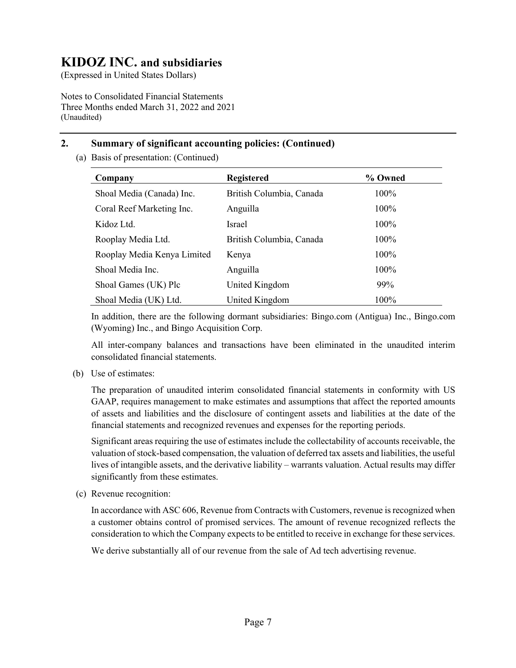(Expressed in United States Dollars)

Notes to Consolidated Financial Statements Three Months ended March 31, 2022 and 2021 (Unaudited)

## **2. Summary of significant accounting policies: (Continued)**

(a) Basis of presentation: (Continued)

| Company                     | <b>Registered</b>        | % Owned |
|-----------------------------|--------------------------|---------|
| Shoal Media (Canada) Inc.   | British Columbia, Canada | 100%    |
| Coral Reef Marketing Inc.   | Anguilla                 | 100%    |
| Kidoz Ltd.                  | <b>Israel</b>            | 100%    |
| Rooplay Media Ltd.          | British Columbia, Canada | 100%    |
| Rooplay Media Kenya Limited | Kenya                    | 100%    |
| Shoal Media Inc.            | Anguilla                 | 100%    |
| Shoal Games (UK) Plc        | United Kingdom           | 99%     |
| Shoal Media (UK) Ltd.       | United Kingdom           | 100%    |

In addition, there are the following dormant subsidiaries: Bingo.com (Antigua) Inc., Bingo.com (Wyoming) Inc., and Bingo Acquisition Corp.

All inter-company balances and transactions have been eliminated in the unaudited interim consolidated financial statements.

(b) Use of estimates:

The preparation of unaudited interim consolidated financial statements in conformity with US GAAP, requires management to make estimates and assumptions that affect the reported amounts of assets and liabilities and the disclosure of contingent assets and liabilities at the date of the financial statements and recognized revenues and expenses for the reporting periods.

Significant areas requiring the use of estimates include the collectability of accounts receivable, the valuation of stock-based compensation, the valuation of deferred tax assets and liabilities, the useful lives of intangible assets, and the derivative liability – warrants valuation. Actual results may differ significantly from these estimates.

(c) Revenue recognition:

In accordance with ASC 606, Revenue from Contracts with Customers, revenue is recognized when a customer obtains control of promised services. The amount of revenue recognized reflects the consideration to which the Company expects to be entitled to receive in exchange for these services.

We derive substantially all of our revenue from the sale of Ad tech advertising revenue.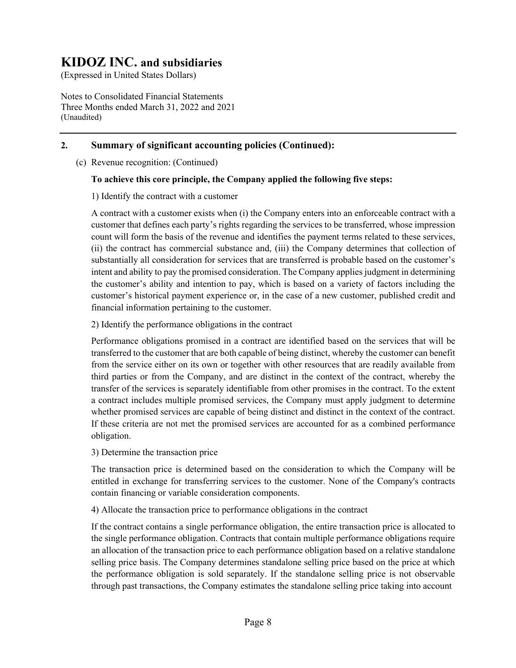(Expressed in United States Dollars)

Notes to Consolidated Financial Statements Three Months ended March 31, 2022 and 2021 (Unaudited)

### **2. Summary of significant accounting policies (Continued):**

(c) Revenue recognition: (Continued)

### **To achieve this core principle, the Company applied the following five steps:**

1) Identify the contract with a customer

A contract with a customer exists when (i) the Company enters into an enforceable contract with a customer that defines each party's rights regarding the services to be transferred, whose impression count will form the basis of the revenue and identifies the payment terms related to these services, (ii) the contract has commercial substance and, (iii) the Company determines that collection of substantially all consideration for services that are transferred is probable based on the customer's intent and ability to pay the promised consideration. The Company applies judgment in determining the customer's ability and intention to pay, which is based on a variety of factors including the customer's historical payment experience or, in the case of a new customer, published credit and financial information pertaining to the customer.

2) Identify the performance obligations in the contract

Performance obligations promised in a contract are identified based on the services that will be transferred to the customer that are both capable of being distinct, whereby the customer can benefit from the service either on its own or together with other resources that are readily available from third parties or from the Company, and are distinct in the context of the contract, whereby the transfer of the services is separately identifiable from other promises in the contract. To the extent a contract includes multiple promised services, the Company must apply judgment to determine whether promised services are capable of being distinct and distinct in the context of the contract. If these criteria are not met the promised services are accounted for as a combined performance obligation.

3) Determine the transaction price

The transaction price is determined based on the consideration to which the Company will be entitled in exchange for transferring services to the customer. None of the Company's contracts contain financing or variable consideration components.

4) Allocate the transaction price to performance obligations in the contract

If the contract contains a single performance obligation, the entire transaction price is allocated to the single performance obligation. Contracts that contain multiple performance obligations require an allocation of the transaction price to each performance obligation based on a relative standalone selling price basis. The Company determines standalone selling price based on the price at which the performance obligation is sold separately. If the standalone selling price is not observable through past transactions, the Company estimates the standalone selling price taking into account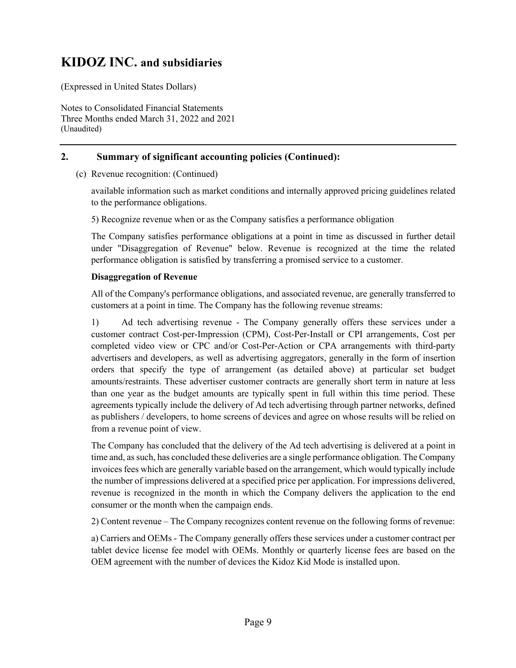(Expressed in United States Dollars)

Notes to Consolidated Financial Statements Three Months ended March 31, 2022 and 2021 (Unaudited)

### **2. Summary of significant accounting policies (Continued):**

(c) Revenue recognition: (Continued)

available information such as market conditions and internally approved pricing guidelines related to the performance obligations.

5) Recognize revenue when or as the Company satisfies a performance obligation

The Company satisfies performance obligations at a point in time as discussed in further detail under "Disaggregation of Revenue" below. Revenue is recognized at the time the related performance obligation is satisfied by transferring a promised service to a customer.

#### **Disaggregation of Revenue**

All of the Company's performance obligations, and associated revenue, are generally transferred to customers at a point in time. The Company has the following revenue streams:

1) Ad tech advertising revenue - The Company generally offers these services under a customer contract Cost-per-Impression (CPM), Cost-Per-Install or CPI arrangements, Cost per completed video view or CPC and/or Cost-Per-Action or CPA arrangements with third-party advertisers and developers, as well as advertising aggregators, generally in the form of insertion orders that specify the type of arrangement (as detailed above) at particular set budget amounts/restraints. These advertiser customer contracts are generally short term in nature at less than one year as the budget amounts are typically spent in full within this time period. These agreements typically include the delivery of Ad tech advertising through partner networks, defined as publishers / developers, to home screens of devices and agree on whose results will be relied on from a revenue point of view.

The Company has concluded that the delivery of the Ad tech advertising is delivered at a point in time and, as such, has concluded these deliveries are a single performance obligation. The Company invoices fees which are generally variable based on the arrangement, which would typically include the number of impressions delivered at a specified price per application. For impressions delivered, revenue is recognized in the month in which the Company delivers the application to the end consumer or the month when the campaign ends.

2) Content revenue – The Company recognizes content revenue on the following forms of revenue:

a) Carriers and OEMs - The Company generally offers these services under a customer contract per tablet device license fee model with OEMs. Monthly or quarterly license fees are based on the OEM agreement with the number of devices the Kidoz Kid Mode is installed upon.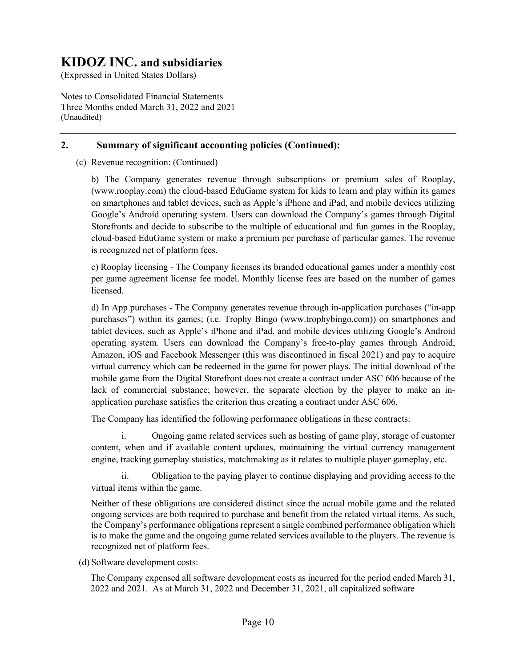(Expressed in United States Dollars)

Notes to Consolidated Financial Statements Three Months ended March 31, 2022 and 2021 (Unaudited)

### **2. Summary of significant accounting policies (Continued):**

(c) Revenue recognition: (Continued)

b) The Company generates revenue through subscriptions or premium sales of Rooplay, (www.rooplay.com) the cloud-based EduGame system for kids to learn and play within its games on smartphones and tablet devices, such as Apple's iPhone and iPad, and mobile devices utilizing Google's Android operating system. Users can download the Company's games through Digital Storefronts and decide to subscribe to the multiple of educational and fun games in the Rooplay, cloud-based EduGame system or make a premium per purchase of particular games. The revenue is recognized net of platform fees.

c) Rooplay licensing - The Company licenses its branded educational games under a monthly cost per game agreement license fee model. Monthly license fees are based on the number of games licensed.

d) In App purchases - The Company generates revenue through in-application purchases ("in-app purchases") within its games; (i.e. Trophy Bingo (www.trophybingo.com)) on smartphones and tablet devices, such as Apple's iPhone and iPad, and mobile devices utilizing Google's Android operating system. Users can download the Company's free-to-play games through Android, Amazon, iOS and Facebook Messenger (this was discontinued in fiscal 2021) and pay to acquire virtual currency which can be redeemed in the game for power plays. The initial download of the mobile game from the Digital Storefront does not create a contract under ASC 606 because of the lack of commercial substance; however, the separate election by the player to make an inapplication purchase satisfies the criterion thus creating a contract under ASC 606.

The Company has identified the following performance obligations in these contracts:

i. Ongoing game related services such as hosting of game play, storage of customer content, when and if available content updates, maintaining the virtual currency management engine, tracking gameplay statistics, matchmaking as it relates to multiple player gameplay, etc.

ii. Obligation to the paying player to continue displaying and providing access to the virtual items within the game.

Neither of these obligations are considered distinct since the actual mobile game and the related ongoing services are both required to purchase and benefit from the related virtual items. As such, the Company's performance obligations represent a single combined performance obligation which is to make the game and the ongoing game related services available to the players. The revenue is recognized net of platform fees.

(d) Software development costs:

The Company expensed all software development costs as incurred for the period ended March 31, 2022 and 2021. As at March 31, 2022 and December 31, 2021, all capitalized software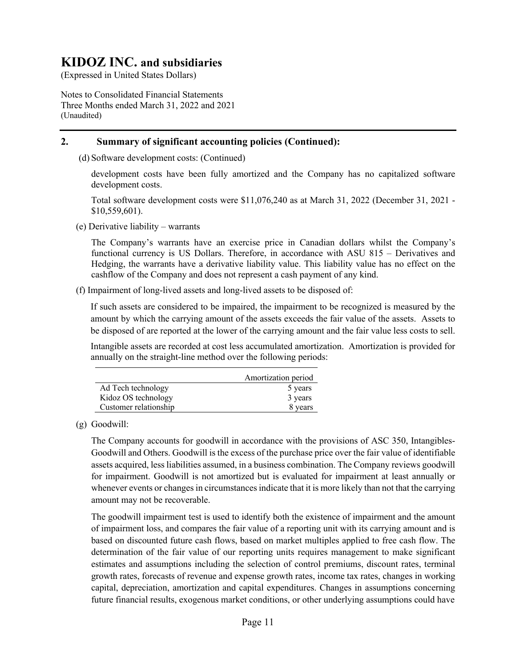(Expressed in United States Dollars)

Notes to Consolidated Financial Statements Three Months ended March 31, 2022 and 2021 (Unaudited)

## **2. Summary of significant accounting policies (Continued):**

(d) Software development costs: (Continued)

development costs have been fully amortized and the Company has no capitalized software development costs.

Total software development costs were \$11,076,240 as at March 31, 2022 (December 31, 2021 - \$10,559,601).

(e) Derivative liability – warrants

The Company's warrants have an exercise price in Canadian dollars whilst the Company's functional currency is US Dollars. Therefore, in accordance with ASU 815 – Derivatives and Hedging, the warrants have a derivative liability value. This liability value has no effect on the cashflow of the Company and does not represent a cash payment of any kind.

(f) Impairment of long-lived assets and long-lived assets to be disposed of:

If such assets are considered to be impaired, the impairment to be recognized is measured by the amount by which the carrying amount of the assets exceeds the fair value of the assets. Assets to be disposed of are reported at the lower of the carrying amount and the fair value less costs to sell.

Intangible assets are recorded at cost less accumulated amortization. Amortization is provided for annually on the straight-line method over the following periods:

|                       | Amortization period |
|-----------------------|---------------------|
| Ad Tech technology    | 5 years             |
| Kidoz OS technology   | 3 years             |
| Customer relationship | 8 years             |

(g) Goodwill:

The Company accounts for goodwill in accordance with the provisions of ASC 350, Intangibles-Goodwill and Others. Goodwill is the excess of the purchase price over the fair value of identifiable assets acquired, less liabilities assumed, in a business combination. The Company reviews goodwill for impairment. Goodwill is not amortized but is evaluated for impairment at least annually or whenever events or changes in circumstances indicate that it is more likely than not that the carrying amount may not be recoverable.

The goodwill impairment test is used to identify both the existence of impairment and the amount of impairment loss, and compares the fair value of a reporting unit with its carrying amount and is based on discounted future cash flows, based on market multiples applied to free cash flow. The determination of the fair value of our reporting units requires management to make significant estimates and assumptions including the selection of control premiums, discount rates, terminal growth rates, forecasts of revenue and expense growth rates, income tax rates, changes in working capital, depreciation, amortization and capital expenditures. Changes in assumptions concerning future financial results, exogenous market conditions, or other underlying assumptions could have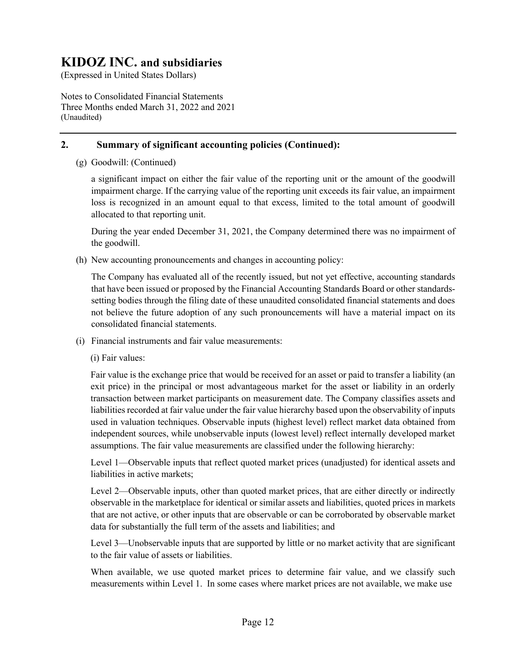(Expressed in United States Dollars)

Notes to Consolidated Financial Statements Three Months ended March 31, 2022 and 2021 (Unaudited)

### **2. Summary of significant accounting policies (Continued):**

(g) Goodwill: (Continued)

a significant impact on either the fair value of the reporting unit or the amount of the goodwill impairment charge. If the carrying value of the reporting unit exceeds its fair value, an impairment loss is recognized in an amount equal to that excess, limited to the total amount of goodwill allocated to that reporting unit.

During the year ended December 31, 2021, the Company determined there was no impairment of the goodwill.

(h) New accounting pronouncements and changes in accounting policy:

The Company has evaluated all of the recently issued, but not yet effective, accounting standards that have been issued or proposed by the Financial Accounting Standards Board or other standardssetting bodies through the filing date of these unaudited consolidated financial statements and does not believe the future adoption of any such pronouncements will have a material impact on its consolidated financial statements.

(i) Financial instruments and fair value measurements:

(i) Fair values:

Fair value is the exchange price that would be received for an asset or paid to transfer a liability (an exit price) in the principal or most advantageous market for the asset or liability in an orderly transaction between market participants on measurement date. The Company classifies assets and liabilities recorded at fair value under the fair value hierarchy based upon the observability of inputs used in valuation techniques. Observable inputs (highest level) reflect market data obtained from independent sources, while unobservable inputs (lowest level) reflect internally developed market assumptions. The fair value measurements are classified under the following hierarchy:

Level 1—Observable inputs that reflect quoted market prices (unadjusted) for identical assets and liabilities in active markets;

Level 2—Observable inputs, other than quoted market prices, that are either directly or indirectly observable in the marketplace for identical or similar assets and liabilities, quoted prices in markets that are not active, or other inputs that are observable or can be corroborated by observable market data for substantially the full term of the assets and liabilities; and

Level 3—Unobservable inputs that are supported by little or no market activity that are significant to the fair value of assets or liabilities.

When available, we use quoted market prices to determine fair value, and we classify such measurements within Level 1. In some cases where market prices are not available, we make use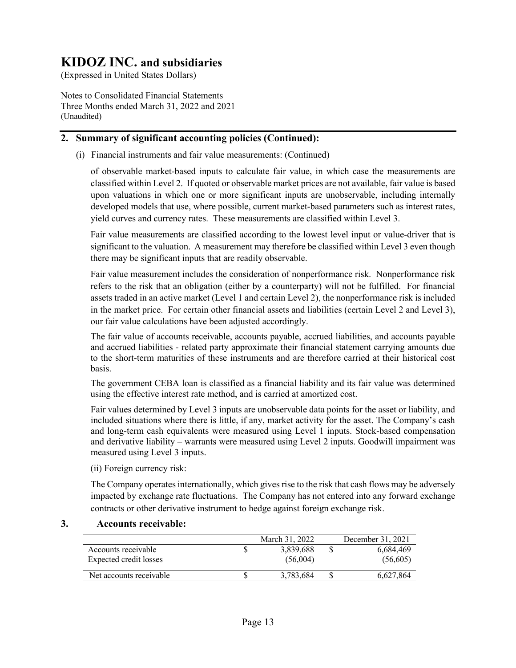(Expressed in United States Dollars)

Notes to Consolidated Financial Statements Three Months ended March 31, 2022 and 2021 (Unaudited)

### **2. Summary of significant accounting policies (Continued):**

(i) Financial instruments and fair value measurements: (Continued)

of observable market-based inputs to calculate fair value, in which case the measurements are classified within Level 2. If quoted or observable market prices are not available, fair value is based upon valuations in which one or more significant inputs are unobservable, including internally developed models that use, where possible, current market-based parameters such as interest rates, yield curves and currency rates. These measurements are classified within Level 3.

Fair value measurements are classified according to the lowest level input or value-driver that is significant to the valuation. A measurement may therefore be classified within Level 3 even though there may be significant inputs that are readily observable.

Fair value measurement includes the consideration of nonperformance risk. Nonperformance risk refers to the risk that an obligation (either by a counterparty) will not be fulfilled. For financial assets traded in an active market (Level 1 and certain Level 2), the nonperformance risk is included in the market price. For certain other financial assets and liabilities (certain Level 2 and Level 3), our fair value calculations have been adjusted accordingly.

The fair value of accounts receivable, accounts payable, accrued liabilities, and accounts payable and accrued liabilities - related party approximate their financial statement carrying amounts due to the short-term maturities of these instruments and are therefore carried at their historical cost basis.

The government CEBA loan is classified as a financial liability and its fair value was determined using the effective interest rate method, and is carried at amortized cost.

Fair values determined by Level 3 inputs are unobservable data points for the asset or liability, and included situations where there is little, if any, market activity for the asset. The Company's cash and long-term cash equivalents were measured using Level 1 inputs. Stock-based compensation and derivative liability – warrants were measured using Level 2 inputs. Goodwill impairment was measured using Level 3 inputs.

(ii) Foreign currency risk:

The Company operates internationally, which gives rise to the risk that cash flows may be adversely impacted by exchange rate fluctuations. The Company has not entered into any forward exchange contracts or other derivative instrument to hedge against foreign exchange risk.

### **3. Accounts receivable:**

|                         | March 31, 2022 | December 31, 2021 |
|-------------------------|----------------|-------------------|
| Accounts receivable     | 3.839.688      | 6.684.469         |
| Expected credit losses  | (56,004)       | (56,605)          |
| Net accounts receivable | 3.783.684      | 6.627.864         |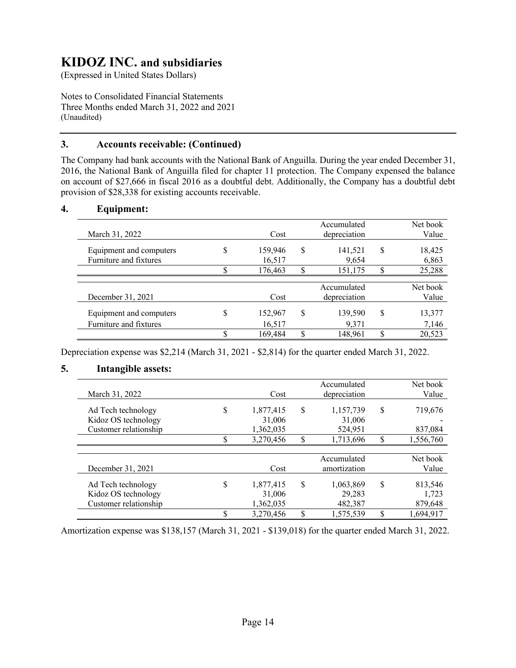(Expressed in United States Dollars)

Notes to Consolidated Financial Statements Three Months ended March 31, 2022 and 2021 (Unaudited)

### **3. Accounts receivable: (Continued)**

The Company had bank accounts with the National Bank of Anguilla. During the year ended December 31, 2016, the National Bank of Anguilla filed for chapter 11 protection. The Company expensed the balance on account of \$27,666 in fiscal 2016 as a doubtful debt. Additionally, the Company has a doubtful debt provision of \$28,338 for existing accounts receivable.

### **4. Equipment:**

| March 31, 2022                                    |              | Cost                         |        | Accumulated<br>depreciation |         | Net book<br>Value         |
|---------------------------------------------------|--------------|------------------------------|--------|-----------------------------|---------|---------------------------|
| Equipment and computers<br>Furniture and fixtures | \$<br>Φ<br>Φ | 159,946<br>16,517<br>176,463 | S<br>S | 141,521<br>9,654<br>151,175 | \$<br>S | 18,425<br>6,863<br>25,288 |
|                                                   |              |                              |        |                             |         |                           |
| December 31, 2021                                 |              | Cost                         |        | Accumulated<br>depreciation |         | Net book<br>Value         |
| Equipment and computers                           | S            | 152,967                      | S      | 139,590                     | \$      | 13,377                    |
| Furniture and fixtures                            |              | 16,517                       |        | 9,371                       |         | 7,146                     |
|                                                   | Φ            | 169,484                      | S      | 148.961                     | \$      | 20,523                    |

Depreciation expense was \$2,214 (March 31, 2021 - \$2,814) for the quarter ended March 31, 2022.

### **5. Intangible assets:**

|                       |    |           |    | Accumulated  |    | Net book  |
|-----------------------|----|-----------|----|--------------|----|-----------|
| March 31, 2022        |    | Cost      |    | depreciation |    | Value     |
| Ad Tech technology    | \$ | 1,877,415 | \$ | 1,157,739    | S  | 719,676   |
| Kidoz OS technology   |    | 31,006    |    | 31,006       |    |           |
| Customer relationship |    | 1,362,035 |    | 524,951      |    | 837,084   |
|                       |    | 3,270,456 | \$ | 1,713,696    | \$ | 1,556,760 |
|                       |    |           |    |              |    |           |
|                       |    |           |    | Accumulated  |    | Net book  |
| December 31, 2021     |    | Cost      |    | amortization |    | Value     |
| Ad Tech technology    | \$ | 1,877,415 | \$ | 1,063,869    | \$ | 813,546   |
| Kidoz OS technology   |    | 31,006    |    | 29,283       |    | 1,723     |
| Customer relationship |    | 1,362,035 |    | 482,387      |    | 879,648   |
|                       | Φ  | 3,270,456 | S  | 1,575,539    | S  | 1,694,917 |

Amortization expense was \$138,157 (March 31, 2021 - \$139,018) for the quarter ended March 31, 2022.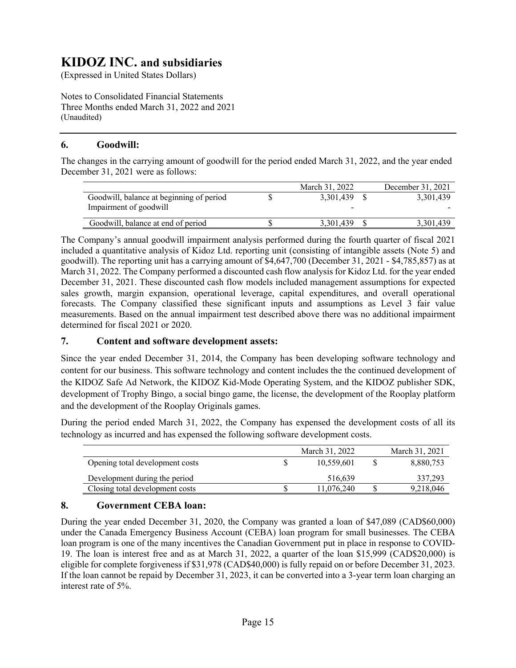(Expressed in United States Dollars)

Notes to Consolidated Financial Statements Three Months ended March 31, 2022 and 2021 (Unaudited)

### **6. Goodwill:**

The changes in the carrying amount of goodwill for the period ended March 31, 2022, and the year ended December 31, 2021 were as follows:

|                                          | March 31, 2022 | December 31, 2021 |
|------------------------------------------|----------------|-------------------|
| Goodwill, balance at beginning of period | 3.301.439      | 3,301,439         |
| Impairment of goodwill                   | -              |                   |
| Goodwill, balance at end of period       | 3,301,439      | 3,301,439         |

The Company's annual goodwill impairment analysis performed during the fourth quarter of fiscal 2021 included a quantitative analysis of Kidoz Ltd. reporting unit (consisting of intangible assets (Note 5) and goodwill). The reporting unit has a carrying amount of \$4,647,700 (December 31, 2021 - \$4,785,857) as at March 31, 2022. The Company performed a discounted cash flow analysis for Kidoz Ltd. for the year ended December 31, 2021. These discounted cash flow models included management assumptions for expected sales growth, margin expansion, operational leverage, capital expenditures, and overall operational forecasts. The Company classified these significant inputs and assumptions as Level 3 fair value measurements. Based on the annual impairment test described above there was no additional impairment determined for fiscal 2021 or 2020.

### **7. Content and software development assets:**

Since the year ended December 31, 2014, the Company has been developing software technology and content for our business. This software technology and content includes the the continued development of the KIDOZ Safe Ad Network, the KIDOZ Kid-Mode Operating System, and the KIDOZ publisher SDK, development of Trophy Bingo, a social bingo game, the license, the development of the Rooplay platform and the development of the Rooplay Originals games.

During the period ended March 31, 2022, the Company has expensed the development costs of all its technology as incurred and has expensed the following software development costs.

|                                 | March 31, 2022 | March 31, 2021 |
|---------------------------------|----------------|----------------|
| Opening total development costs | 10.559.601     | 8,880,753      |
| Development during the period   | 516,639        | 337,293        |
| Closing total development costs | 11,076,240     | 9,218,046      |

### **8. Government CEBA loan:**

During the year ended December 31, 2020, the Company was granted a loan of \$47,089 (CAD\$60,000) under the Canada Emergency Business Account (CEBA) loan program for small businesses. The CEBA loan program is one of the many incentives the Canadian Government put in place in response to COVID-19. The loan is interest free and as at March 31, 2022, a quarter of the loan \$15,999 (CAD\$20,000) is eligible for complete forgiveness if \$31,978 (CAD\$40,000) is fully repaid on or before December 31, 2023. If the loan cannot be repaid by December 31, 2023, it can be converted into a 3-year term loan charging an interest rate of 5%.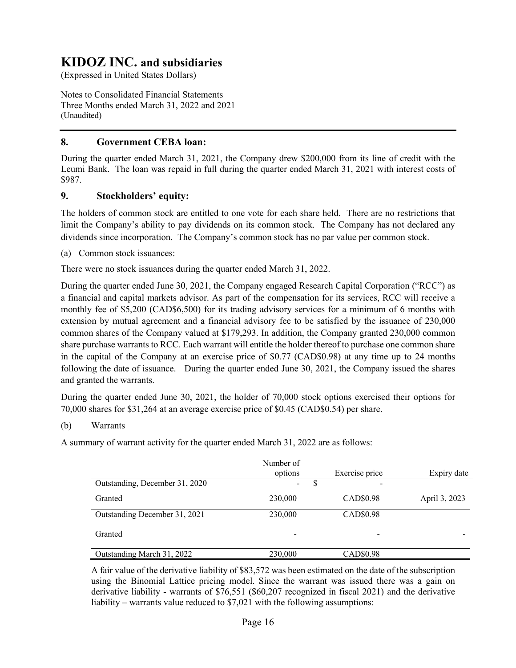(Expressed in United States Dollars)

Notes to Consolidated Financial Statements Three Months ended March 31, 2022 and 2021 (Unaudited)

## **8. Government CEBA loan:**

During the quarter ended March 31, 2021, the Company drew \$200,000 from its line of credit with the Leumi Bank. The loan was repaid in full during the quarter ended March 31, 2021 with interest costs of \$987.

### **9. Stockholders' equity:**

The holders of common stock are entitled to one vote for each share held. There are no restrictions that limit the Company's ability to pay dividends on its common stock. The Company has not declared any dividends since incorporation. The Company's common stock has no par value per common stock.

(a) Common stock issuances:

There were no stock issuances during the quarter ended March 31, 2022.

During the quarter ended June 30, 2021, the Company engaged Research Capital Corporation ("RCC") as a financial and capital markets advisor. As part of the compensation for its services, RCC will receive a monthly fee of \$5,200 (CAD\$6,500) for its trading advisory services for a minimum of 6 months with extension by mutual agreement and a financial advisory fee to be satisfied by the issuance of 230,000 common shares of the Company valued at \$179,293. In addition, the Company granted 230,000 common share purchase warrants to RCC. Each warrant will entitle the holder thereof to purchase one common share in the capital of the Company at an exercise price of \$0.77 (CAD\$0.98) at any time up to 24 months following the date of issuance. During the quarter ended June 30, 2021, the Company issued the shares and granted the warrants.

During the quarter ended June 30, 2021, the holder of 70,000 stock options exercised their options for 70,000 shares for \$31,264 at an average exercise price of \$0.45 (CAD\$0.54) per share.

### (b) Warrants

A summary of warrant activity for the quarter ended March 31, 2022 are as follows:

|                                | Number of    |                          |               |
|--------------------------------|--------------|--------------------------|---------------|
|                                | options      | Exercise price           | Expiry date   |
| Outstanding, December 31, 2020 | S.<br>$\sim$ |                          |               |
| Granted                        | 230,000      | CAD\$0.98                | April 3, 2023 |
| Outstanding December 31, 2021  | 230,000      | CAD\$0.98                |               |
| Granted                        |              | $\overline{\phantom{m}}$ |               |
| Outstanding March 31, 2022     | 230,000      | CAD\$0.98                |               |

A fair value of the derivative liability of \$83,572 was been estimated on the date of the subscription using the Binomial Lattice pricing model. Since the warrant was issued there was a gain on derivative liability - warrants of \$76,551 (\$60,207 recognized in fiscal 2021) and the derivative liability – warrants value reduced to \$7,021 with the following assumptions: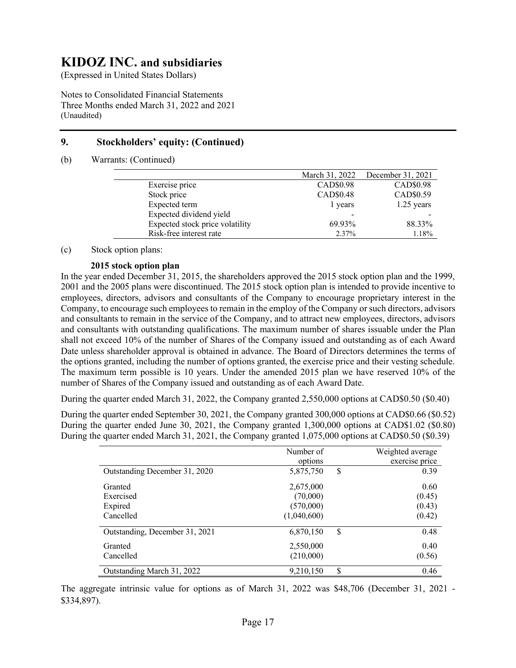(Expressed in United States Dollars)

Notes to Consolidated Financial Statements Three Months ended March 31, 2022 and 2021 (Unaudited)

## **9. Stockholders' equity: (Continued)**

(b) Warrants: (Continued)

|                                 | March 31, 2022 | December 31, 2021 |
|---------------------------------|----------------|-------------------|
| Exercise price                  | CAD\$0.98      | CAD\$0.98         |
| Stock price                     | CAD\$0.48      | CAD\$0.59         |
| Expected term                   | 1 years        | $1.25$ years      |
| Expected dividend yield         |                |                   |
| Expected stock price volatility | 69.93%         | 88.33%            |
| Risk-free interest rate         | 2.37%          | 1.18%             |
|                                 |                |                   |

(c) Stock option plans:

### **2015 stock option plan**

In the year ended December 31, 2015, the shareholders approved the 2015 stock option plan and the 1999, 2001 and the 2005 plans were discontinued. The 2015 stock option plan is intended to provide incentive to employees, directors, advisors and consultants of the Company to encourage proprietary interest in the Company, to encourage such employees to remain in the employ of the Company or such directors, advisors and consultants to remain in the service of the Company, and to attract new employees, directors, advisors and consultants with outstanding qualifications. The maximum number of shares issuable under the Plan shall not exceed 10% of the number of Shares of the Company issued and outstanding as of each Award Date unless shareholder approval is obtained in advance. The Board of Directors determines the terms of the options granted, including the number of options granted, the exercise price and their vesting schedule. The maximum term possible is 10 years. Under the amended 2015 plan we have reserved 10% of the number of Shares of the Company issued and outstanding as of each Award Date.

During the quarter ended March 31, 2022, the Company granted 2,550,000 options at CAD\$0.50 (\$0.40)

During the quarter ended September 30, 2021, the Company granted 300,000 options at CAD\$0.66 (\$0.52) During the quarter ended June 30, 2021, the Company granted 1,300,000 options at CAD\$1.02 (\$0.80) During the quarter ended March 31, 2021, the Company granted 1,075,000 options at CAD\$0.50 (\$0.39)

|                                | Number of   | Weighted average |
|--------------------------------|-------------|------------------|
|                                | options     | exercise price   |
| Outstanding December 31, 2020  | 5,875,750   | \$<br>0.39       |
| Granted                        | 2,675,000   | 0.60             |
| Exercised                      | (70,000)    | (0.45)           |
| Expired                        | (570,000)   | (0.43)           |
| Cancelled                      | (1,040,600) | (0.42)           |
| Outstanding, December 31, 2021 | 6,870,150   | \$<br>0.48       |
| Granted                        | 2,550,000   | 0.40             |
| Cancelled                      | (210,000)   | (0.56)           |
| Outstanding March 31, 2022     | 9,210,150   | \$<br>0.46       |

The aggregate intrinsic value for options as of March 31, 2022 was \$48,706 (December 31, 2021 - \$334,897).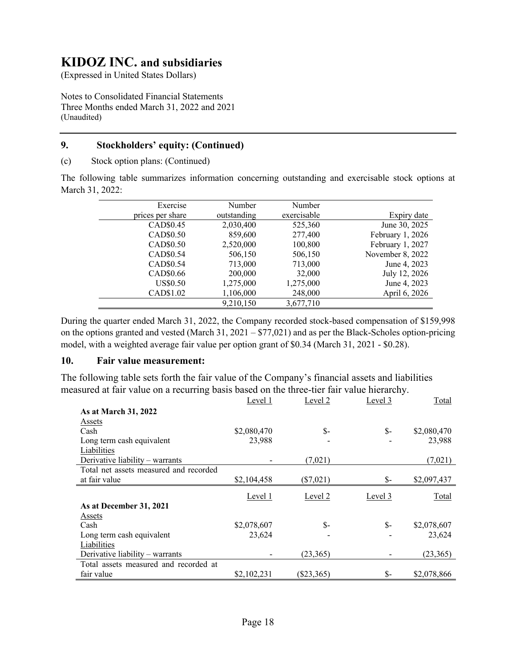(Expressed in United States Dollars)

Notes to Consolidated Financial Statements Three Months ended March 31, 2022 and 2021 (Unaudited)

### **9. Stockholders' equity: (Continued)**

(c) Stock option plans: (Continued)

The following table summarizes information concerning outstanding and exercisable stock options at March 31, 2022:

| Exercise         | Number      | Number      |                  |
|------------------|-------------|-------------|------------------|
| prices per share | outstanding | exercisable | Expiry date      |
| CAD\$0.45        | 2,030,400   | 525,360     | June 30, 2025    |
| CAD\$0.50        | 859,600     | 277,400     | February 1, 2026 |
| CAD\$0.50        | 2,520,000   | 100,800     | February 1, 2027 |
| CAD\$0.54        | 506,150     | 506,150     | November 8, 2022 |
| CAD\$0.54        | 713,000     | 713,000     | June 4, 2023     |
| CAD\$0.66        | 200,000     | 32,000      | July 12, 2026    |
| <b>US\$0.50</b>  | 1,275,000   | 1,275,000   | June 4, 2023     |
| CAD\$1.02        | 1,106,000   | 248,000     | April 6, 2026    |
|                  | 9,210,150   | 3,677,710   |                  |

During the quarter ended March 31, 2022, the Company recorded stock-based compensation of \$159,998 on the options granted and vested (March 31, 2021 – \$77,021) and as per the Black-Scholes option-pricing model, with a weighted average fair value per option grant of \$0.34 (March 31, 2021 - \$0.28).

### **10. Fair value measurement:**

The following table sets forth the fair value of the Company's financial assets and liabilities measured at fair value on a recurring basis based on the three-tier fair value hierarchy.

|                                        | Level 1     | Level 2     | Level 3 | Total       |
|----------------------------------------|-------------|-------------|---------|-------------|
| As at March 31, 2022                   |             |             |         |             |
| Assets                                 |             |             |         |             |
| Cash                                   | \$2,080,470 | \$-         | $S-$    | \$2,080,470 |
| Long term cash equivalent              | 23,988      |             |         | 23,988      |
| Liabilities                            |             |             |         |             |
| Derivative liability – warrants        |             | (7,021)     |         | (7,021)     |
| Total net assets measured and recorded |             |             |         |             |
| at fair value                          | \$2,104,458 | $(\$7,021)$ | \$-     | \$2,097,437 |
|                                        |             |             |         |             |
|                                        | Level 1     | Level 2     | Level 3 | Total       |
| As at December 31, 2021                |             |             |         |             |
| Assets                                 |             |             |         |             |
| Cash                                   | \$2,078,607 | \$-         | $S-$    | \$2,078,607 |
| Long term cash equivalent              | 23,624      |             |         | 23,624      |
| Liabilities                            |             |             |         |             |
| Derivative liability – warrants        |             | (23,365)    |         | (23,365)    |
| Total assets measured and recorded at  |             |             |         |             |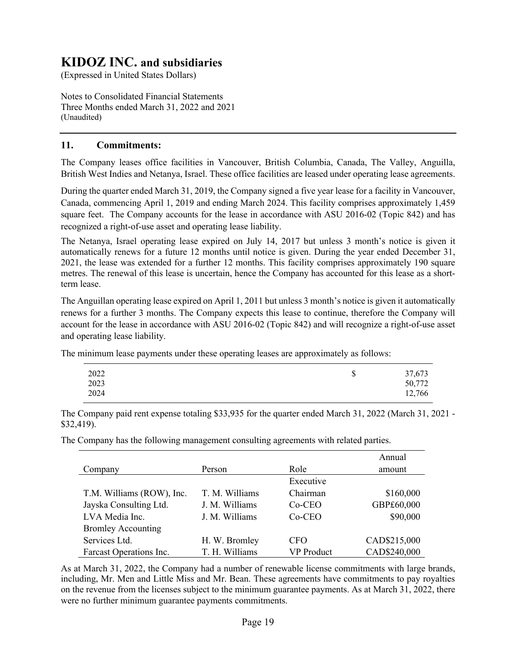(Expressed in United States Dollars)

Notes to Consolidated Financial Statements Three Months ended March 31, 2022 and 2021 (Unaudited)

### **11. Commitments:**

The Company leases office facilities in Vancouver, British Columbia, Canada, The Valley, Anguilla, British West Indies and Netanya, Israel. These office facilities are leased under operating lease agreements.

During the quarter ended March 31, 2019, the Company signed a five year lease for a facility in Vancouver, Canada, commencing April 1, 2019 and ending March 2024. This facility comprises approximately 1,459 square feet. The Company accounts for the lease in accordance with ASU 2016-02 (Topic 842) and has recognized a right-of-use asset and operating lease liability.

The Netanya, Israel operating lease expired on July 14, 2017 but unless 3 month's notice is given it automatically renews for a future 12 months until notice is given. During the year ended December 31, 2021, the lease was extended for a further 12 months. This facility comprises approximately 190 square metres. The renewal of this lease is uncertain, hence the Company has accounted for this lease as a shortterm lease.

The Anguillan operating lease expired on April 1, 2011 but unless 3 month's notice is given it automatically renews for a further 3 months. The Company expects this lease to continue, therefore the Company will account for the lease in accordance with ASU 2016-02 (Topic 842) and will recognize a right-of-use asset and operating lease liability.

The minimum lease payments under these operating leases are approximately as follows:

| 2022 | ጦ | 37,673 |
|------|---|--------|
| 2023 | J | 50,772 |
| 2024 |   | 12,766 |

The Company paid rent expense totaling \$33,935 for the quarter ended March 31, 2022 (March 31, 2021 - \$32,419).

The Company has the following management consulting agreements with related parties.

|                           |                |                   | Annual       |
|---------------------------|----------------|-------------------|--------------|
| Company                   | Person         | Role              | amount       |
|                           |                | Executive         |              |
| T.M. Williams (ROW), Inc. | T. M. Williams | Chairman          | \$160,000    |
| Jayska Consulting Ltd.    | J. M. Williams | Co-CEO            | GBP£60,000   |
| LVA Media Inc.            | J. M. Williams | $Co-CEO$          | \$90,000     |
| <b>Bromley Accounting</b> |                |                   |              |
| Services Ltd.             | H. W. Bromley  | <b>CFO</b>        | CAD\$215,000 |
| Farcast Operations Inc.   | T. H. Williams | <b>VP</b> Product | CAD\$240,000 |

As at March 31, 2022, the Company had a number of renewable license commitments with large brands, including, Mr. Men and Little Miss and Mr. Bean. These agreements have commitments to pay royalties on the revenue from the licenses subject to the minimum guarantee payments. As at March 31, 2022, there were no further minimum guarantee payments commitments.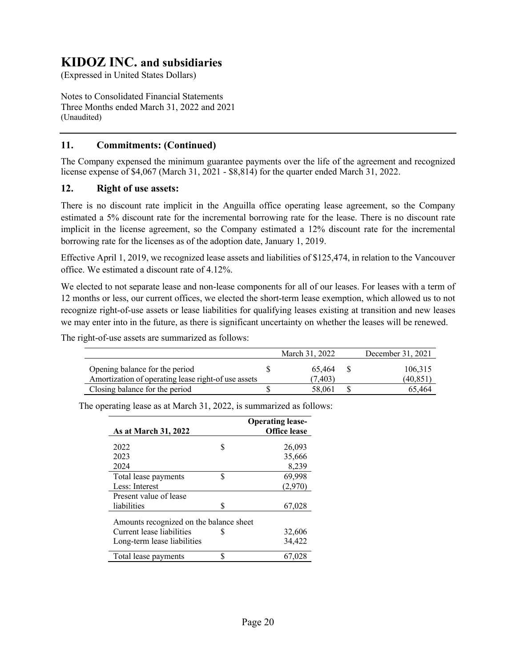(Expressed in United States Dollars)

Notes to Consolidated Financial Statements Three Months ended March 31, 2022 and 2021 (Unaudited)

### **11. Commitments: (Continued)**

The Company expensed the minimum guarantee payments over the life of the agreement and recognized license expense of \$4,067 (March 31, 2021 - \$8,814) for the quarter ended March 31, 2022.

### **12. Right of use assets:**

There is no discount rate implicit in the Anguilla office operating lease agreement, so the Company estimated a 5% discount rate for the incremental borrowing rate for the lease. There is no discount rate implicit in the license agreement, so the Company estimated a 12% discount rate for the incremental borrowing rate for the licenses as of the adoption date, January 1, 2019.

Effective April 1, 2019, we recognized lease assets and liabilities of \$125,474, in relation to the Vancouver office. We estimated a discount rate of 4.12%.

We elected to not separate lease and non-lease components for all of our leases. For leases with a term of 12 months or less, our current offices, we elected the short-term lease exemption, which allowed us to not recognize right-of-use assets or lease liabilities for qualifying leases existing at transition and new leases we may enter into in the future, as there is significant uncertainty on whether the leases will be renewed.

The right-of-use assets are summarized as follows:

|                                                     | March 31, 2022 | December 31, 2021 |
|-----------------------------------------------------|----------------|-------------------|
| Opening balance for the period                      | 65.464         | 106,315           |
| Amortization of operating lease right-of use assets | (7.403)        | (40.851`          |
| Closing balance for the period                      | 58,061         | 65.464            |

| <b>As at March 31, 2022</b>             |    | <b>Operating lease-</b><br><b>Office lease</b> |
|-----------------------------------------|----|------------------------------------------------|
| 2022                                    | \$ | 26,093                                         |
| 2023                                    |    | 35,666                                         |
| 2024                                    |    | 8,239                                          |
| Total lease payments                    | \$ | 69,998                                         |
| Less: Interest                          |    | (2,970)                                        |
| Present value of lease                  |    |                                                |
| liabilities                             | S  | 67,028                                         |
| Amounts recognized on the balance sheet |    |                                                |
| Current lease liabilities               |    | 32,606                                         |
| Long-term lease liabilities             |    | 34,422                                         |
| Total lease payments                    | ¢  | 67.028                                         |

The operating lease as at March 31, 2022, is summarized as follows: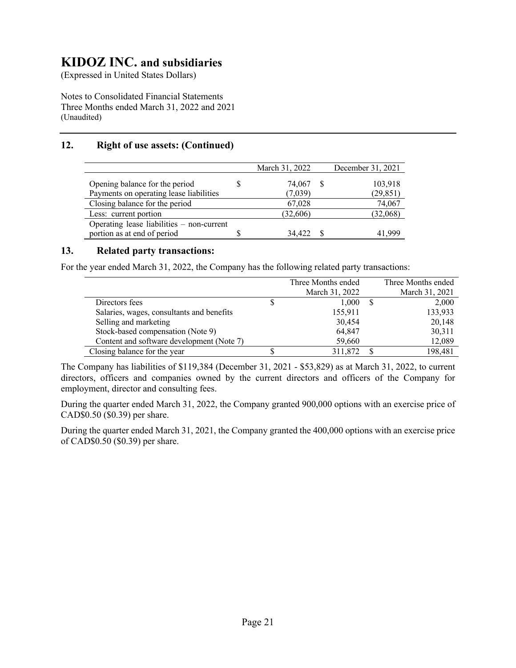(Expressed in United States Dollars)

Notes to Consolidated Financial Statements Three Months ended March 31, 2022 and 2021 (Unaudited)

## **12. Right of use assets: (Continued)**

|                                           | March 31, 2022 | December 31, 2021 |
|-------------------------------------------|----------------|-------------------|
| Opening balance for the period            | 74,067         | 103,918           |
| Payments on operating lease liabilities   | (7,039)        | (29, 851)         |
| Closing balance for the period            | 67,028         | 74,067            |
| Less: current portion                     | (32,606)       | (32,068)          |
| Operating lease liabilities - non-current |                |                   |
| portion as at end of period               | 34,422         | 41,999            |

### **13. Related party transactions:**

For the year ended March 31, 2022, the Company has the following related party transactions:

|                                           | Three Months ended |   | Three Months ended |
|-------------------------------------------|--------------------|---|--------------------|
|                                           | March 31, 2022     |   | March 31, 2021     |
| Directors fees                            | 1,000              | S | 2,000              |
| Salaries, wages, consultants and benefits | 155,911            |   | 133,933            |
| Selling and marketing                     | 30,454             |   | 20,148             |
| Stock-based compensation (Note 9)         | 64,847             |   | 30,311             |
| Content and software development (Note 7) | 59,660             |   | 12,089             |
| Closing balance for the year              | 311,872            |   | 198,481            |

The Company has liabilities of \$119,384 (December 31, 2021 - \$53,829) as at March 31, 2022, to current directors, officers and companies owned by the current directors and officers of the Company for employment, director and consulting fees.

During the quarter ended March 31, 2022, the Company granted 900,000 options with an exercise price of CAD\$0.50 (\$0.39) per share.

During the quarter ended March 31, 2021, the Company granted the 400,000 options with an exercise price of CAD\$0.50 (\$0.39) per share.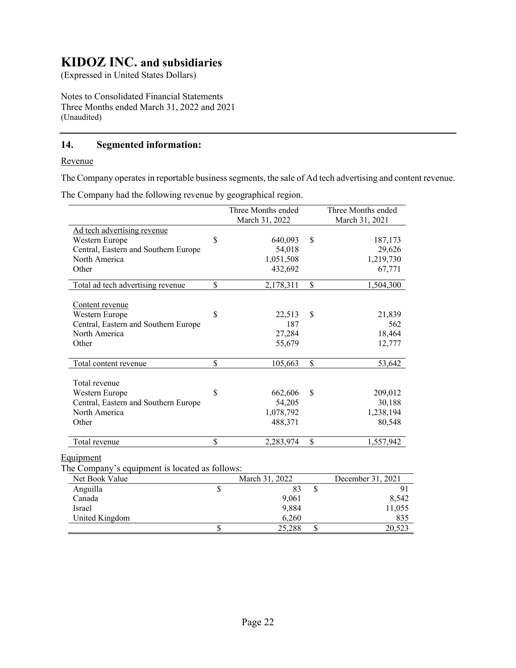(Expressed in United States Dollars)

Notes to Consolidated Financial Statements Three Months ended March 31, 2022 and 2021 (Unaudited)

## **14. Segmented information:**

### Revenue

The Company operates in reportable business segments, the sale of Ad tech advertising and content revenue.

The Company had the following revenue by geographical region.

|                                                | Three Months ended<br>March 31, 2022 |    | Three Months ended<br>March 31, 2021 |
|------------------------------------------------|--------------------------------------|----|--------------------------------------|
| Ad tech advertising revenue                    |                                      |    |                                      |
| Western Europe                                 | \$<br>640,093                        | S  | 187,173                              |
| Central, Eastern and Southern Europe           | 54,018                               |    | 29,626                               |
| North America                                  | 1,051,508                            |    | 1,219,730                            |
| Other                                          | 432,692                              |    | 67,771                               |
| Total ad tech advertising revenue              | \$<br>2,178,311                      | \$ | 1,504,300                            |
| Content revenue                                |                                      |    |                                      |
| Western Europe                                 | \$<br>22,513                         | \$ | 21,839                               |
| Central, Eastern and Southern Europe           | 187                                  |    | 562                                  |
| North America                                  | 27,284                               |    | 18,464                               |
| Other                                          | 55,679                               |    | 12,777                               |
| Total content revenue                          | \$<br>105,663                        | \$ | 53,642                               |
| Total revenue                                  |                                      |    |                                      |
| Western Europe                                 | \$<br>662,606                        | \$ | 209,012                              |
| Central, Eastern and Southern Europe           | 54,205                               |    | 30,188                               |
| North America                                  | 1,078,792                            |    | 1,238,194                            |
| Other                                          | 488,371                              |    | 80,548                               |
| Total revenue                                  | \$<br>2,283,974                      | \$ | 1,557,942                            |
| Equipment                                      |                                      |    |                                      |
| The Company's equipment is located as follows: |                                      |    |                                      |
| Net Book Value                                 | March 31, 2022                       |    | December 31, 2021                    |
| Anguilla                                       | \$<br>83                             | \$ | 91                                   |
| Canada                                         | 9,061                                |    | 8,542                                |

Israel 9,884 11,055 United Kingdom 6,260 835

\$ 25,288 \$ 20,523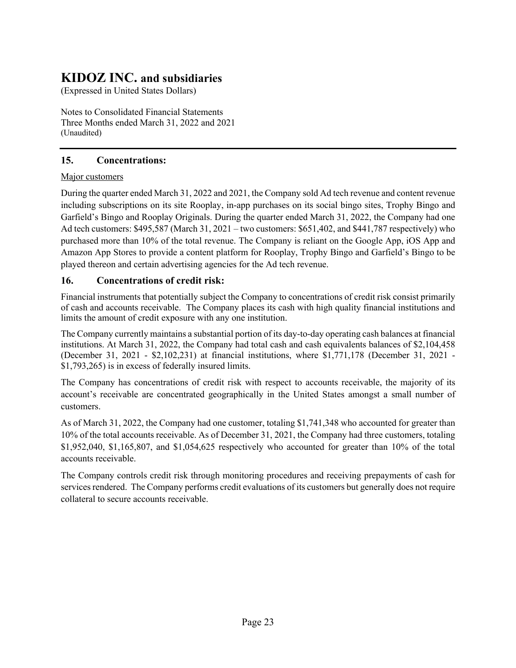(Expressed in United States Dollars)

Notes to Consolidated Financial Statements Three Months ended March 31, 2022 and 2021 (Unaudited)

## **15. Concentrations:**

### Major customers

During the quarter ended March 31, 2022 and 2021, the Company sold Ad tech revenue and content revenue including subscriptions on its site Rooplay, in-app purchases on its social bingo sites, Trophy Bingo and Garfield's Bingo and Rooplay Originals. During the quarter ended March 31, 2022, the Company had one Ad tech customers: \$495,587 (March 31, 2021 – two customers: \$651,402, and \$441,787 respectively) who purchased more than 10% of the total revenue. The Company is reliant on the Google App, iOS App and Amazon App Stores to provide a content platform for Rooplay, Trophy Bingo and Garfield's Bingo to be played thereon and certain advertising agencies for the Ad tech revenue.

### **16. Concentrations of credit risk:**

Financial instruments that potentially subject the Company to concentrations of credit risk consist primarily of cash and accounts receivable. The Company places its cash with high quality financial institutions and limits the amount of credit exposure with any one institution.

The Company currently maintains a substantial portion of its day-to-day operating cash balances at financial institutions. At March 31, 2022, the Company had total cash and cash equivalents balances of \$2,104,458 (December 31, 2021 - \$2,102,231) at financial institutions, where \$1,771,178 (December 31, 2021 - \$1,793,265) is in excess of federally insured limits.

The Company has concentrations of credit risk with respect to accounts receivable, the majority of its account's receivable are concentrated geographically in the United States amongst a small number of customers.

As of March 31, 2022, the Company had one customer, totaling \$1,741,348 who accounted for greater than 10% of the total accounts receivable. As of December 31, 2021, the Company had three customers, totaling \$1,952,040, \$1,165,807, and \$1,054,625 respectively who accounted for greater than 10% of the total accounts receivable.

The Company controls credit risk through monitoring procedures and receiving prepayments of cash for services rendered. The Company performs credit evaluations of its customers but generally does not require collateral to secure accounts receivable.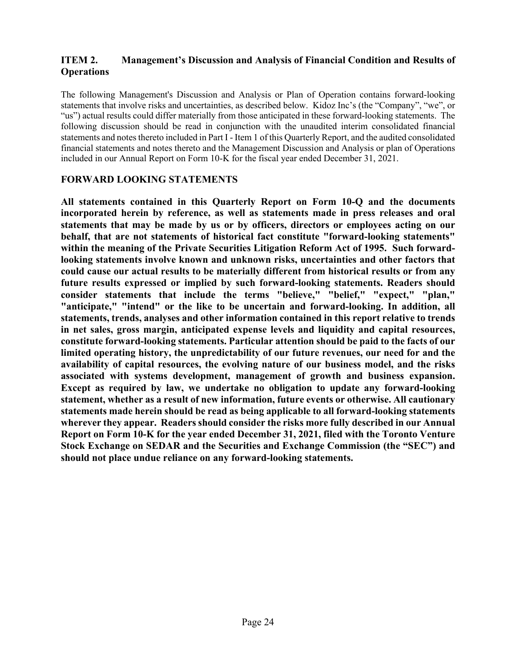### **ITEM 2. Management's Discussion and Analysis of Financial Condition and Results of Operations**

The following Management's Discussion and Analysis or Plan of Operation contains forward-looking statements that involve risks and uncertainties, as described below. Kidoz Inc's (the "Company", "we", or "us") actual results could differ materially from those anticipated in these forward-looking statements. The following discussion should be read in conjunction with the unaudited interim consolidated financial statements and notes thereto included in Part I - Item 1 of this Quarterly Report, and the audited consolidated financial statements and notes thereto and the Management Discussion and Analysis or plan of Operations included in our Annual Report on Form 10-K for the fiscal year ended December 31, 2021.

### **FORWARD LOOKING STATEMENTS**

**All statements contained in this Quarterly Report on Form 10-Q and the documents incorporated herein by reference, as well as statements made in press releases and oral statements that may be made by us or by officers, directors or employees acting on our behalf, that are not statements of historical fact constitute "forward-looking statements" within the meaning of the Private Securities Litigation Reform Act of 1995. Such forwardlooking statements involve known and unknown risks, uncertainties and other factors that could cause our actual results to be materially different from historical results or from any future results expressed or implied by such forward-looking statements. Readers should consider statements that include the terms "believe," "belief," "expect," "plan," "anticipate," "intend" or the like to be uncertain and forward-looking. In addition, all statements, trends, analyses and other information contained in this report relative to trends in net sales, gross margin, anticipated expense levels and liquidity and capital resources, constitute forward-looking statements. Particular attention should be paid to the facts of our limited operating history, the unpredictability of our future revenues, our need for and the availability of capital resources, the evolving nature of our business model, and the risks associated with systems development, management of growth and business expansion. Except as required by law, we undertake no obligation to update any forward-looking statement, whether as a result of new information, future events or otherwise. All cautionary statements made herein should be read as being applicable to all forward-looking statements wherever they appear. Readers should consider the risks more fully described in our Annual Report on Form 10-K for the year ended December 31, 2021, filed with the Toronto Venture Stock Exchange on SEDAR and the Securities and Exchange Commission (the "SEC") and should not place undue reliance on any forward-looking statements.**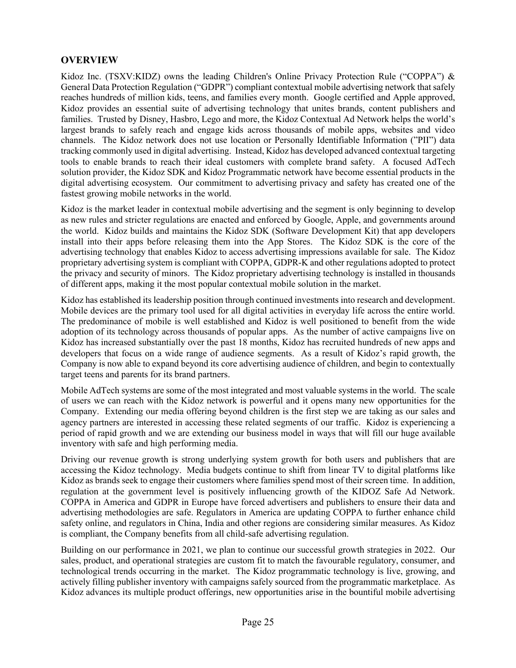## **OVERVIEW**

Kidoz Inc. (TSXV:KIDZ) owns the leading Children's Online Privacy Protection Rule ("COPPA") & General Data Protection Regulation ("GDPR") compliant contextual mobile advertising network that safely reaches hundreds of million kids, teens, and families every month. Google certified and Apple approved, Kidoz provides an essential suite of advertising technology that unites brands, content publishers and families. Trusted by Disney, Hasbro, Lego and more, the Kidoz Contextual Ad Network helps the world's largest brands to safely reach and engage kids across thousands of mobile apps, websites and video channels. The Kidoz network does not use location or Personally Identifiable Information ("PII") data tracking commonly used in digital advertising. Instead, Kidoz has developed advanced contextual targeting tools to enable brands to reach their ideal customers with complete brand safety. A focused AdTech solution provider, the Kidoz SDK and Kidoz Programmatic network have become essential products in the digital advertising ecosystem. Our commitment to advertising privacy and safety has created one of the fastest growing mobile networks in the world.

Kidoz is the market leader in contextual mobile advertising and the segment is only beginning to develop as new rules and stricter regulations are enacted and enforced by Google, Apple, and governments around the world. Kidoz builds and maintains the Kidoz SDK (Software Development Kit) that app developers install into their apps before releasing them into the App Stores. The Kidoz SDK is the core of the advertising technology that enables Kidoz to access advertising impressions available for sale. The Kidoz proprietary advertising system is compliant with COPPA, GDPR-K and other regulations adopted to protect the privacy and security of minors. The Kidoz proprietary advertising technology is installed in thousands of different apps, making it the most popular contextual mobile solution in the market.

Kidoz has established its leadership position through continued investments into research and development. Mobile devices are the primary tool used for all digital activities in everyday life across the entire world. The predominance of mobile is well established and Kidoz is well positioned to benefit from the wide adoption of its technology across thousands of popular apps. As the number of active campaigns live on Kidoz has increased substantially over the past 18 months, Kidoz has recruited hundreds of new apps and developers that focus on a wide range of audience segments. As a result of Kidoz's rapid growth, the Company is now able to expand beyond its core advertising audience of children, and begin to contextually target teens and parents for its brand partners.

Mobile AdTech systems are some of the most integrated and most valuable systems in the world. The scale of users we can reach with the Kidoz network is powerful and it opens many new opportunities for the Company. Extending our media offering beyond children is the first step we are taking as our sales and agency partners are interested in accessing these related segments of our traffic. Kidoz is experiencing a period of rapid growth and we are extending our business model in ways that will fill our huge available inventory with safe and high performing media.

Driving our revenue growth is strong underlying system growth for both users and publishers that are accessing the Kidoz technology. Media budgets continue to shift from linear TV to digital platforms like Kidoz as brands seek to engage their customers where families spend most of their screen time. In addition, regulation at the government level is positively influencing growth of the KIDOZ Safe Ad Network. COPPA in America and GDPR in Europe have forced advertisers and publishers to ensure their data and advertising methodologies are safe. Regulators in America are updating COPPA to further enhance child safety online, and regulators in China, India and other regions are considering similar measures. As Kidoz is compliant, the Company benefits from all child-safe advertising regulation.

Building on our performance in 2021, we plan to continue our successful growth strategies in 2022. Our sales, product, and operational strategies are custom fit to match the favourable regulatory, consumer, and technological trends occurring in the market. The Kidoz programmatic technology is live, growing, and actively filling publisher inventory with campaigns safely sourced from the programmatic marketplace. As Kidoz advances its multiple product offerings, new opportunities arise in the bountiful mobile advertising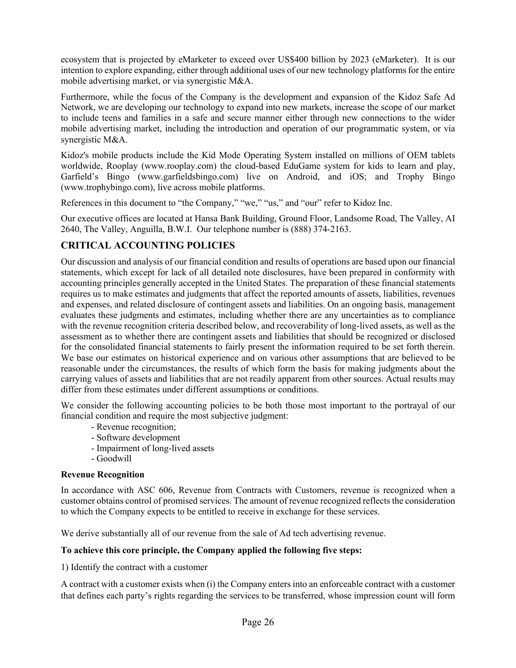ecosystem that is projected by eMarketer to exceed over US\$400 billion by 2023 (eMarketer). It is our intention to explore expanding, either through additional uses of our new technology platforms for the entire mobile advertising market, or via synergistic M&A.

Furthermore, while the focus of the Company is the development and expansion of the Kidoz Safe Ad Network, we are developing our technology to expand into new markets, increase the scope of our market to include teens and families in a safe and secure manner either through new connections to the wider mobile advertising market, including the introduction and operation of our programmatic system, or via synergistic M&A.

Kidoz's mobile products include the Kid Mode Operating System installed on millions of OEM tablets worldwide, Rooplay (www.rooplay.com) the cloud-based EduGame system for kids to learn and play, Garfield's Bingo (www.garfieldsbingo.com) live on Android, and iOS; and Trophy Bingo (www.trophybingo.com), live across mobile platforms.

References in this document to "the Company," "we," "us," and "our" refer to Kidoz Inc.

Our executive offices are located at Hansa Bank Building, Ground Floor, Landsome Road, The Valley, AI 2640, The Valley, Anguilla, B.W.I. Our telephone number is (888) 374-2163.

## **CRITICAL ACCOUNTING POLICIES**

Our discussion and analysis of our financial condition and results of operations are based upon our financial statements, which except for lack of all detailed note disclosures, have been prepared in conformity with accounting principles generally accepted in the United States. The preparation of these financial statements requires us to make estimates and judgments that affect the reported amounts of assets, liabilities, revenues and expenses, and related disclosure of contingent assets and liabilities. On an ongoing basis, management evaluates these judgments and estimates, including whether there are any uncertainties as to compliance with the revenue recognition criteria described below, and recoverability of long-lived assets, as well as the assessment as to whether there are contingent assets and liabilities that should be recognized or disclosed for the consolidated financial statements to fairly present the information required to be set forth therein. We base our estimates on historical experience and on various other assumptions that are believed to be reasonable under the circumstances, the results of which form the basis for making judgments about the carrying values of assets and liabilities that are not readily apparent from other sources. Actual results may differ from these estimates under different assumptions or conditions.

We consider the following accounting policies to be both those most important to the portrayal of our financial condition and require the most subjective judgment:

- Revenue recognition;
- Software development
- Impairment of long-lived assets
- Goodwill

#### **Revenue Recognition**

In accordance with ASC 606, Revenue from Contracts with Customers, revenue is recognized when a customer obtains control of promised services. The amount of revenue recognized reflects the consideration to which the Company expects to be entitled to receive in exchange for these services.

We derive substantially all of our revenue from the sale of Ad tech advertising revenue.

### **To achieve this core principle, the Company applied the following five steps:**

1) Identify the contract with a customer

A contract with a customer exists when (i) the Company enters into an enforceable contract with a customer that defines each party's rights regarding the services to be transferred, whose impression count will form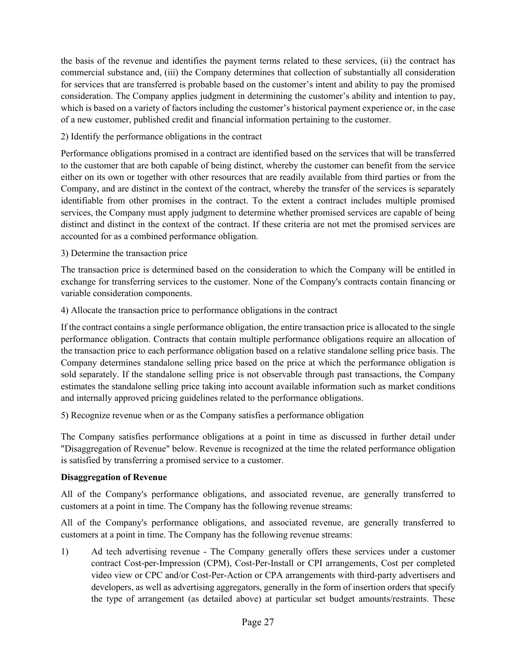the basis of the revenue and identifies the payment terms related to these services, (ii) the contract has commercial substance and, (iii) the Company determines that collection of substantially all consideration for services that are transferred is probable based on the customer's intent and ability to pay the promised consideration. The Company applies judgment in determining the customer's ability and intention to pay, which is based on a variety of factors including the customer's historical payment experience or, in the case of a new customer, published credit and financial information pertaining to the customer.

### 2) Identify the performance obligations in the contract

Performance obligations promised in a contract are identified based on the services that will be transferred to the customer that are both capable of being distinct, whereby the customer can benefit from the service either on its own or together with other resources that are readily available from third parties or from the Company, and are distinct in the context of the contract, whereby the transfer of the services is separately identifiable from other promises in the contract. To the extent a contract includes multiple promised services, the Company must apply judgment to determine whether promised services are capable of being distinct and distinct in the context of the contract. If these criteria are not met the promised services are accounted for as a combined performance obligation.

### 3) Determine the transaction price

The transaction price is determined based on the consideration to which the Company will be entitled in exchange for transferring services to the customer. None of the Company's contracts contain financing or variable consideration components.

### 4) Allocate the transaction price to performance obligations in the contract

If the contract contains a single performance obligation, the entire transaction price is allocated to the single performance obligation. Contracts that contain multiple performance obligations require an allocation of the transaction price to each performance obligation based on a relative standalone selling price basis. The Company determines standalone selling price based on the price at which the performance obligation is sold separately. If the standalone selling price is not observable through past transactions, the Company estimates the standalone selling price taking into account available information such as market conditions and internally approved pricing guidelines related to the performance obligations.

5) Recognize revenue when or as the Company satisfies a performance obligation

The Company satisfies performance obligations at a point in time as discussed in further detail under "Disaggregation of Revenue" below. Revenue is recognized at the time the related performance obligation is satisfied by transferring a promised service to a customer.

### **Disaggregation of Revenue**

All of the Company's performance obligations, and associated revenue, are generally transferred to customers at a point in time. The Company has the following revenue streams:

All of the Company's performance obligations, and associated revenue, are generally transferred to customers at a point in time. The Company has the following revenue streams:

1) Ad tech advertising revenue - The Company generally offers these services under a customer contract Cost-per-Impression (CPM), Cost-Per-Install or CPI arrangements, Cost per completed video view or CPC and/or Cost-Per-Action or CPA arrangements with third-party advertisers and developers, as well as advertising aggregators, generally in the form of insertion orders that specify the type of arrangement (as detailed above) at particular set budget amounts/restraints. These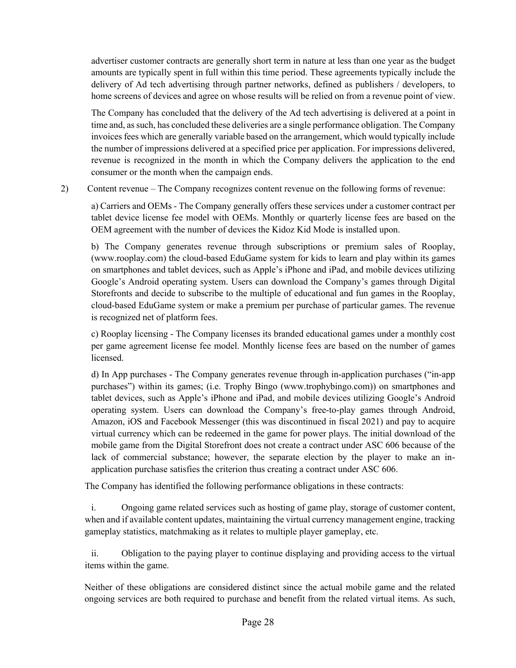advertiser customer contracts are generally short term in nature at less than one year as the budget amounts are typically spent in full within this time period. These agreements typically include the delivery of Ad tech advertising through partner networks, defined as publishers / developers, to home screens of devices and agree on whose results will be relied on from a revenue point of view.

The Company has concluded that the delivery of the Ad tech advertising is delivered at a point in time and, as such, has concluded these deliveries are a single performance obligation. The Company invoices fees which are generally variable based on the arrangement, which would typically include the number of impressions delivered at a specified price per application. For impressions delivered, revenue is recognized in the month in which the Company delivers the application to the end consumer or the month when the campaign ends.

2) Content revenue – The Company recognizes content revenue on the following forms of revenue:

a) Carriers and OEMs - The Company generally offers these services under a customer contract per tablet device license fee model with OEMs. Monthly or quarterly license fees are based on the OEM agreement with the number of devices the Kidoz Kid Mode is installed upon.

b) The Company generates revenue through subscriptions or premium sales of Rooplay, (www.rooplay.com) the cloud-based EduGame system for kids to learn and play within its games on smartphones and tablet devices, such as Apple's iPhone and iPad, and mobile devices utilizing Google's Android operating system. Users can download the Company's games through Digital Storefronts and decide to subscribe to the multiple of educational and fun games in the Rooplay, cloud-based EduGame system or make a premium per purchase of particular games. The revenue is recognized net of platform fees.

c) Rooplay licensing - The Company licenses its branded educational games under a monthly cost per game agreement license fee model. Monthly license fees are based on the number of games licensed.

d) In App purchases - The Company generates revenue through in-application purchases ("in-app purchases") within its games; (i.e. Trophy Bingo (www.trophybingo.com)) on smartphones and tablet devices, such as Apple's iPhone and iPad, and mobile devices utilizing Google's Android operating system. Users can download the Company's free-to-play games through Android, Amazon, iOS and Facebook Messenger (this was discontinued in fiscal 2021) and pay to acquire virtual currency which can be redeemed in the game for power plays. The initial download of the mobile game from the Digital Storefront does not create a contract under ASC 606 because of the lack of commercial substance; however, the separate election by the player to make an inapplication purchase satisfies the criterion thus creating a contract under ASC 606.

The Company has identified the following performance obligations in these contracts:

i. Ongoing game related services such as hosting of game play, storage of customer content, when and if available content updates, maintaining the virtual currency management engine, tracking gameplay statistics, matchmaking as it relates to multiple player gameplay, etc.

ii. Obligation to the paying player to continue displaying and providing access to the virtual items within the game.

Neither of these obligations are considered distinct since the actual mobile game and the related ongoing services are both required to purchase and benefit from the related virtual items. As such,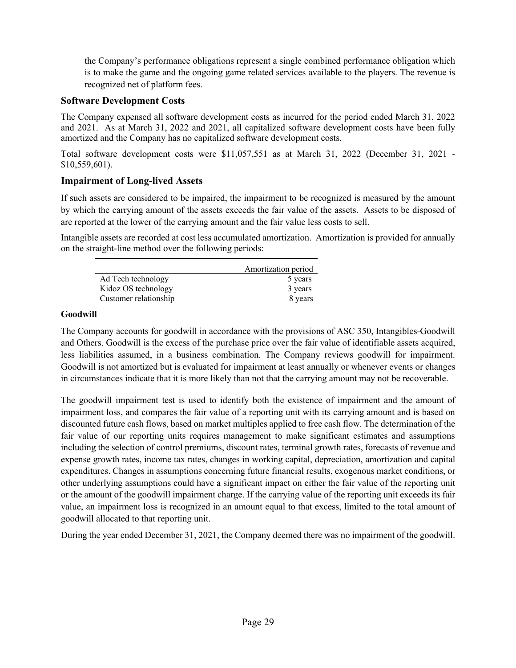the Company's performance obligations represent a single combined performance obligation which is to make the game and the ongoing game related services available to the players. The revenue is recognized net of platform fees.

### **Software Development Costs**

The Company expensed all software development costs as incurred for the period ended March 31, 2022 and 2021. As at March 31, 2022 and 2021, all capitalized software development costs have been fully amortized and the Company has no capitalized software development costs.

Total software development costs were \$11,057,551 as at March 31, 2022 (December 31, 2021 - \$10,559,601).

## **Impairment of Long-lived Assets**

If such assets are considered to be impaired, the impairment to be recognized is measured by the amount by which the carrying amount of the assets exceeds the fair value of the assets. Assets to be disposed of are reported at the lower of the carrying amount and the fair value less costs to sell.

Intangible assets are recorded at cost less accumulated amortization. Amortization is provided for annually on the straight-line method over the following periods:

|                       | Amortization period |
|-----------------------|---------------------|
| Ad Tech technology    | 5 years             |
| Kidoz OS technology   | 3 years             |
| Customer relationship | 8 years             |

### **Goodwill**

The Company accounts for goodwill in accordance with the provisions of ASC 350, Intangibles-Goodwill and Others. Goodwill is the excess of the purchase price over the fair value of identifiable assets acquired, less liabilities assumed, in a business combination. The Company reviews goodwill for impairment. Goodwill is not amortized but is evaluated for impairment at least annually or whenever events or changes in circumstances indicate that it is more likely than not that the carrying amount may not be recoverable.

The goodwill impairment test is used to identify both the existence of impairment and the amount of impairment loss, and compares the fair value of a reporting unit with its carrying amount and is based on discounted future cash flows, based on market multiples applied to free cash flow. The determination of the fair value of our reporting units requires management to make significant estimates and assumptions including the selection of control premiums, discount rates, terminal growth rates, forecasts of revenue and expense growth rates, income tax rates, changes in working capital, depreciation, amortization and capital expenditures. Changes in assumptions concerning future financial results, exogenous market conditions, or other underlying assumptions could have a significant impact on either the fair value of the reporting unit or the amount of the goodwill impairment charge. If the carrying value of the reporting unit exceeds its fair value, an impairment loss is recognized in an amount equal to that excess, limited to the total amount of goodwill allocated to that reporting unit.

During the year ended December 31, 2021, the Company deemed there was no impairment of the goodwill.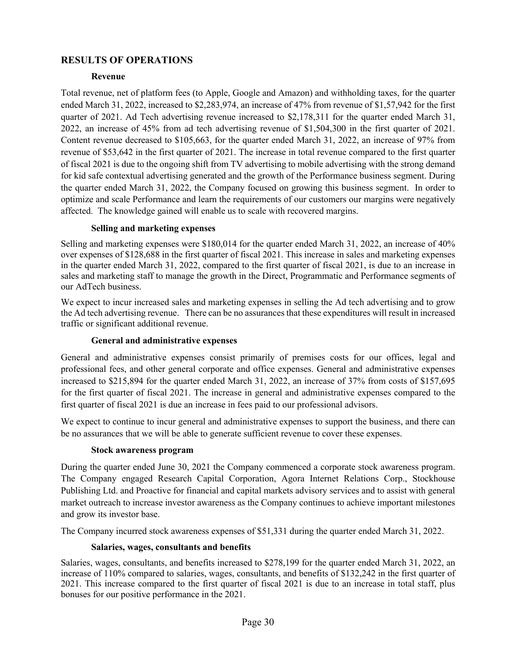## **RESULTS OF OPERATIONS**

### **Revenue**

Total revenue, net of platform fees (to Apple, Google and Amazon) and withholding taxes, for the quarter ended March 31, 2022, increased to \$2,283,974, an increase of 47% from revenue of \$1,57,942 for the first quarter of 2021. Ad Tech advertising revenue increased to \$2,178,311 for the quarter ended March 31, 2022, an increase of 45% from ad tech advertising revenue of \$1,504,300 in the first quarter of 2021. Content revenue decreased to \$105,663, for the quarter ended March 31, 2022, an increase of 97% from revenue of \$53,642 in the first quarter of 2021. The increase in total revenue compared to the first quarter of fiscal 2021 is due to the ongoing shift from TV advertising to mobile advertising with the strong demand for kid safe contextual advertising generated and the growth of the Performance business segment. During the quarter ended March 31, 2022, the Company focused on growing this business segment. In order to optimize and scale Performance and learn the requirements of our customers our margins were negatively affected. The knowledge gained will enable us to scale with recovered margins.

#### **Selling and marketing expenses**

Selling and marketing expenses were \$180,014 for the quarter ended March 31, 2022, an increase of 40% over expenses of \$128,688 in the first quarter of fiscal 2021. This increase in sales and marketing expenses in the quarter ended March 31, 2022, compared to the first quarter of fiscal 2021, is due to an increase in sales and marketing staff to manage the growth in the Direct, Programmatic and Performance segments of our AdTech business.

We expect to incur increased sales and marketing expenses in selling the Ad tech advertising and to grow the Ad tech advertising revenue. There can be no assurances that these expenditures will result in increased traffic or significant additional revenue.

### **General and administrative expenses**

General and administrative expenses consist primarily of premises costs for our offices, legal and professional fees, and other general corporate and office expenses. General and administrative expenses increased to \$215,894 for the quarter ended March 31, 2022, an increase of 37% from costs of \$157,695 for the first quarter of fiscal 2021. The increase in general and administrative expenses compared to the first quarter of fiscal 2021 is due an increase in fees paid to our professional advisors.

We expect to continue to incur general and administrative expenses to support the business, and there can be no assurances that we will be able to generate sufficient revenue to cover these expenses.

#### **Stock awareness program**

During the quarter ended June 30, 2021 the Company commenced a corporate stock awareness program. The Company engaged Research Capital Corporation, Agora Internet Relations Corp., Stockhouse Publishing Ltd. and Proactive for financial and capital markets advisory services and to assist with general market outreach to increase investor awareness as the Company continues to achieve important milestones and grow its investor base.

The Company incurred stock awareness expenses of \$51,331 during the quarter ended March 31, 2022.

#### **Salaries, wages, consultants and benefits**

Salaries, wages, consultants, and benefits increased to \$278,199 for the quarter ended March 31, 2022, an increase of 110% compared to salaries, wages, consultants, and benefits of \$132,242 in the first quarter of 2021. This increase compared to the first quarter of fiscal 2021 is due to an increase in total staff, plus bonuses for our positive performance in the 2021.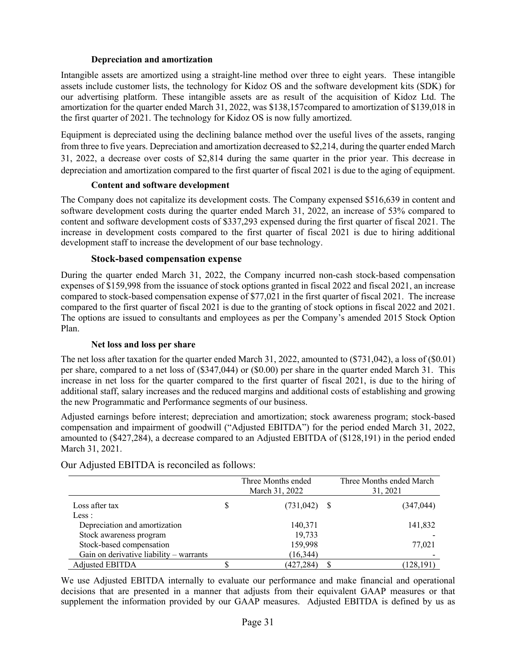#### **Depreciation and amortization**

Intangible assets are amortized using a straight-line method over three to eight years. These intangible assets include customer lists, the technology for Kidoz OS and the software development kits (SDK) for our advertising platform. These intangible assets are as result of the acquisition of Kidoz Ltd. The amortization for the quarter ended March 31, 2022, was \$138,157compared to amortization of \$139,018 in the first quarter of 2021. The technology for Kidoz OS is now fully amortized.

Equipment is depreciated using the declining balance method over the useful lives of the assets, ranging from three to five years. Depreciation and amortization decreased to \$2,214, during the quarter ended March 31, 2022, a decrease over costs of \$2,814 during the same quarter in the prior year. This decrease in depreciation and amortization compared to the first quarter of fiscal 2021 is due to the aging of equipment.

#### **Content and software development**

The Company does not capitalize its development costs. The Company expensed \$516,639 in content and software development costs during the quarter ended March 31, 2022, an increase of 53% compared to content and software development costs of \$337,293 expensed during the first quarter of fiscal 2021. The increase in development costs compared to the first quarter of fiscal 2021 is due to hiring additional development staff to increase the development of our base technology.

#### **Stock-based compensation expense**

During the quarter ended March 31, 2022, the Company incurred non-cash stock-based compensation expenses of \$159,998 from the issuance of stock options granted in fiscal 2022 and fiscal 2021, an increase compared to stock-based compensation expense of \$77,021 in the first quarter of fiscal 2021. The increase compared to the first quarter of fiscal 2021 is due to the granting of stock options in fiscal 2022 and 2021. The options are issued to consultants and employees as per the Company's amended 2015 Stock Option Plan.

#### **Net loss and loss per share**

The net loss after taxation for the quarter ended March 31, 2022, amounted to (\$731,042), a loss of (\$0.01) per share, compared to a net loss of (\$347,044) or (\$0.00) per share in the quarter ended March 31. This increase in net loss for the quarter compared to the first quarter of fiscal 2021, is due to the hiring of additional staff, salary increases and the reduced margins and additional costs of establishing and growing the new Programmatic and Performance segments of our business.

Adjusted earnings before interest; depreciation and amortization; stock awareness program; stock-based compensation and impairment of goodwill ("Adjusted EBITDA") for the period ended March 31, 2022, amounted to (\$427,284), a decrease compared to an Adjusted EBITDA of (\$128,191) in the period ended March 31, 2021.

|                                         |   | Three Months ended<br>March 31, 2022 |    | Three Months ended March<br>31, 2021 |
|-----------------------------------------|---|--------------------------------------|----|--------------------------------------|
| Loss after tax                          | S | (731, 042)                           | -8 | (347, 044)                           |
| Less:                                   |   |                                      |    |                                      |
| Depreciation and amortization           |   | 140,371                              |    | 141,832                              |
| Stock awareness program                 |   | 19,733                               |    |                                      |
| Stock-based compensation                |   | 159,998                              |    | 77,021                               |
| Gain on derivative liability – warrants |   | (16, 344)                            |    |                                      |
| Adjusted EBITDA                         |   | (427, 284)                           |    | (128, 191)                           |

Our Adjusted EBITDA is reconciled as follows:

We use Adjusted EBITDA internally to evaluate our performance and make financial and operational decisions that are presented in a manner that adjusts from their equivalent GAAP measures or that supplement the information provided by our GAAP measures. Adjusted EBITDA is defined by us as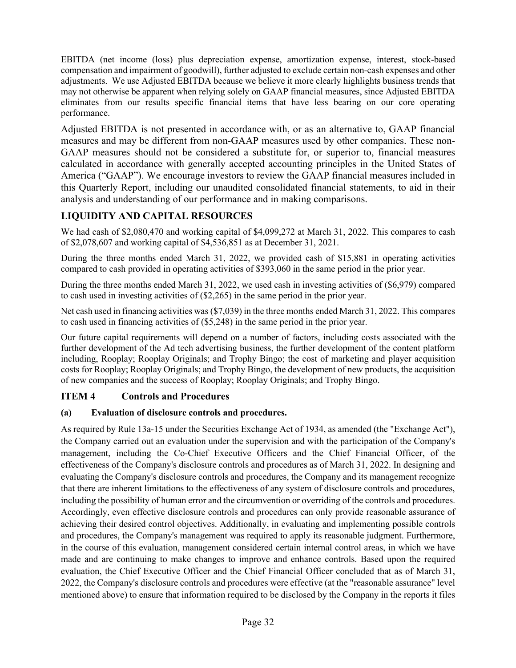EBITDA (net income (loss) plus depreciation expense, amortization expense, interest, stock-based compensation and impairment of goodwill), further adjusted to exclude certain non-cash expenses and other adjustments. We use Adjusted EBITDA because we believe it more clearly highlights business trends that may not otherwise be apparent when relying solely on GAAP financial measures, since Adjusted EBITDA eliminates from our results specific financial items that have less bearing on our core operating performance.

Adjusted EBITDA is not presented in accordance with, or as an alternative to, GAAP financial measures and may be different from non-GAAP measures used by other companies. These non-GAAP measures should not be considered a substitute for, or superior to, financial measures calculated in accordance with generally accepted accounting principles in the United States of America ("GAAP"). We encourage investors to review the GAAP financial measures included in this Quarterly Report, including our unaudited consolidated financial statements, to aid in their analysis and understanding of our performance and in making comparisons.

## **LIQUIDITY AND CAPITAL RESOURCES**

We had cash of \$2,080,470 and working capital of \$4,099,272 at March 31, 2022. This compares to cash of \$2,078,607 and working capital of \$4,536,851 as at December 31, 2021.

During the three months ended March 31, 2022, we provided cash of \$15,881 in operating activities compared to cash provided in operating activities of \$393,060 in the same period in the prior year.

During the three months ended March 31, 2022, we used cash in investing activities of (\$6,979) compared to cash used in investing activities of (\$2,265) in the same period in the prior year.

Net cash used in financing activities was (\$7,039) in the three months ended March 31, 2022. This compares to cash used in financing activities of (\$5,248) in the same period in the prior year.

Our future capital requirements will depend on a number of factors, including costs associated with the further development of the Ad tech advertising business, the further development of the content platform including, Rooplay; Rooplay Originals; and Trophy Bingo; the cost of marketing and player acquisition costs for Rooplay; Rooplay Originals; and Trophy Bingo, the development of new products, the acquisition of new companies and the success of Rooplay; Rooplay Originals; and Trophy Bingo.

## **ITEM 4 Controls and Procedures**

### **(a) Evaluation of disclosure controls and procedures.**

As required by Rule 13a-15 under the Securities Exchange Act of 1934, as amended (the "Exchange Act"), the Company carried out an evaluation under the supervision and with the participation of the Company's management, including the Co-Chief Executive Officers and the Chief Financial Officer, of the effectiveness of the Company's disclosure controls and procedures as of March 31, 2022. In designing and evaluating the Company's disclosure controls and procedures, the Company and its management recognize that there are inherent limitations to the effectiveness of any system of disclosure controls and procedures, including the possibility of human error and the circumvention or overriding of the controls and procedures. Accordingly, even effective disclosure controls and procedures can only provide reasonable assurance of achieving their desired control objectives. Additionally, in evaluating and implementing possible controls and procedures, the Company's management was required to apply its reasonable judgment. Furthermore, in the course of this evaluation, management considered certain internal control areas, in which we have made and are continuing to make changes to improve and enhance controls. Based upon the required evaluation, the Chief Executive Officer and the Chief Financial Officer concluded that as of March 31, 2022, the Company's disclosure controls and procedures were effective (at the "reasonable assurance" level mentioned above) to ensure that information required to be disclosed by the Company in the reports it files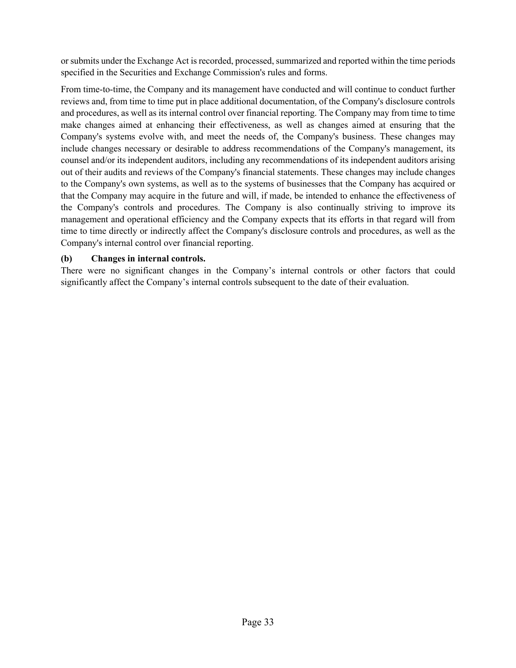or submits under the Exchange Act is recorded, processed, summarized and reported within the time periods specified in the Securities and Exchange Commission's rules and forms.

From time-to-time, the Company and its management have conducted and will continue to conduct further reviews and, from time to time put in place additional documentation, of the Company's disclosure controls and procedures, as well as its internal control over financial reporting. The Company may from time to time make changes aimed at enhancing their effectiveness, as well as changes aimed at ensuring that the Company's systems evolve with, and meet the needs of, the Company's business. These changes may include changes necessary or desirable to address recommendations of the Company's management, its counsel and/or its independent auditors, including any recommendations of its independent auditors arising out of their audits and reviews of the Company's financial statements. These changes may include changes to the Company's own systems, as well as to the systems of businesses that the Company has acquired or that the Company may acquire in the future and will, if made, be intended to enhance the effectiveness of the Company's controls and procedures. The Company is also continually striving to improve its management and operational efficiency and the Company expects that its efforts in that regard will from time to time directly or indirectly affect the Company's disclosure controls and procedures, as well as the Company's internal control over financial reporting.

#### **(b) Changes in internal controls.**

There were no significant changes in the Company's internal controls or other factors that could significantly affect the Company's internal controls subsequent to the date of their evaluation.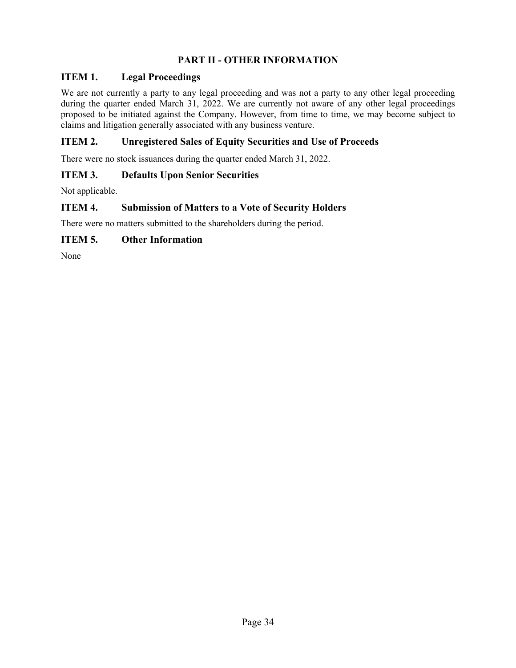## **PART II - OTHER INFORMATION**

### **ITEM 1. Legal Proceedings**

We are not currently a party to any legal proceeding and was not a party to any other legal proceeding during the quarter ended March 31, 2022. We are currently not aware of any other legal proceedings proposed to be initiated against the Company. However, from time to time, we may become subject to claims and litigation generally associated with any business venture.

### **ITEM 2. Unregistered Sales of Equity Securities and Use of Proceeds**

There were no stock issuances during the quarter ended March 31, 2022.

### **ITEM 3. Defaults Upon Senior Securities**

Not applicable.

### **ITEM 4. Submission of Matters to a Vote of Security Holders**

There were no matters submitted to the shareholders during the period.

### **ITEM 5. Other Information**

None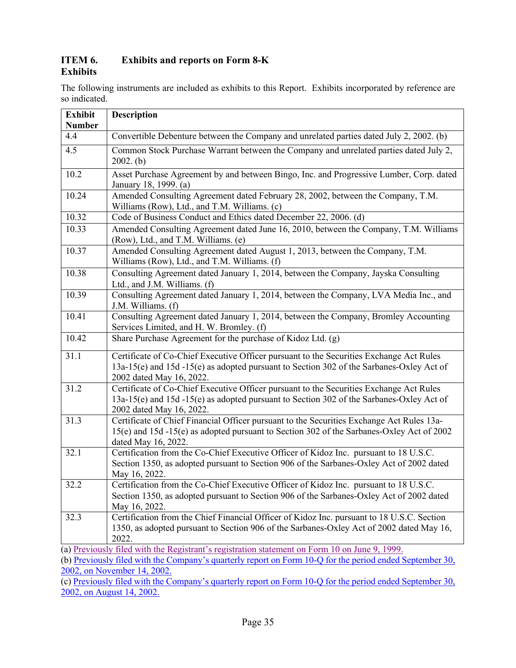### **ITEM 6. Exhibits and reports on Form 8-K Exhibits**

The following instruments are included as exhibits to this Report. Exhibits incorporated by reference are so indicated.

| <b>Exhibit</b><br><b>Number</b> | <b>Description</b>                                                                                                                                                                                              |
|---------------------------------|-----------------------------------------------------------------------------------------------------------------------------------------------------------------------------------------------------------------|
| 4.4                             | Convertible Debenture between the Company and unrelated parties dated July 2, 2002. (b)                                                                                                                         |
| 4.5                             | Common Stock Purchase Warrant between the Company and unrelated parties dated July 2,<br>2002. (b)                                                                                                              |
| 10.2                            | Asset Purchase Agreement by and between Bingo, Inc. and Progressive Lumber, Corp. dated<br>January 18, 1999. (a)                                                                                                |
| 10.24                           | Amended Consulting Agreement dated February 28, 2002, between the Company, T.M.<br>Williams (Row), Ltd., and T.M. Williams. (c)                                                                                 |
| 10.32                           | Code of Business Conduct and Ethics dated December 22, 2006. (d)                                                                                                                                                |
| 10.33                           | Amended Consulting Agreement dated June 16, 2010, between the Company, T.M. Williams<br>(Row), Ltd., and T.M. Williams. (e)                                                                                     |
| 10.37                           | Amended Consulting Agreement dated August 1, 2013, between the Company, T.M.<br>Williams (Row), Ltd., and T.M. Williams. (f)                                                                                    |
| 10.38                           | Consulting Agreement dated January 1, 2014, between the Company, Jayska Consulting<br>Ltd., and J.M. Williams. (f)                                                                                              |
| 10.39                           | Consulting Agreement dated January 1, 2014, between the Company, LVA Media Inc., and<br>J.M. Williams. (f)                                                                                                      |
| 10.41                           | Consulting Agreement dated January 1, 2014, between the Company, Bromley Accounting<br>Services Limited, and H. W. Bromley. (f)                                                                                 |
| 10.42                           | Share Purchase Agreement for the purchase of Kidoz Ltd. (g)                                                                                                                                                     |
| 31.1                            | Certificate of Co-Chief Executive Officer pursuant to the Securities Exchange Act Rules<br>13a-15(e) and 15d -15(e) as adopted pursuant to Section 302 of the Sarbanes-Oxley Act of<br>2002 dated May 16, 2022. |
| 31.2                            | Certificate of Co-Chief Executive Officer pursuant to the Securities Exchange Act Rules<br>13a-15(e) and 15d -15(e) as adopted pursuant to Section 302 of the Sarbanes-Oxley Act of<br>2002 dated May 16, 2022. |
| 31.3                            | Certificate of Chief Financial Officer pursuant to the Securities Exchange Act Rules 13a-<br>15(e) and 15d -15(e) as adopted pursuant to Section 302 of the Sarbanes-Oxley Act of 2002<br>dated May 16, 2022.   |
| 32.1                            | Certification from the Co-Chief Executive Officer of Kidoz Inc. pursuant to 18 U.S.C.<br>Section 1350, as adopted pursuant to Section 906 of the Sarbanes-Oxley Act of 2002 dated<br>May 16, 2022.              |
| 32.2                            | Certification from the Co-Chief Executive Officer of Kidoz Inc. pursuant to 18 U.S.C.<br>Section 1350, as adopted pursuant to Section 906 of the Sarbanes-Oxley Act of 2002 dated<br>May 16, 2022.              |
| 32.3                            | Certification from the Chief Financial Officer of Kidoz Inc. pursuant to 18 U.S.C. Section<br>1350, as adopted pursuant to Section 906 of the Sarbanes-Oxley Act of 2002 dated May 16,<br>2022.                 |
|                                 | (a) Previously filed with the Registrant's registration statement on Form 10 on June 9, 1999.                                                                                                                   |
|                                 | (b) Previously filed with the Company's quarterly report on Form 10-Q for the period ended September 30,                                                                                                        |
|                                 | 2002, on November 14, 2002.                                                                                                                                                                                     |

(c) Previously filed with the Company's quarterly report on Form 10-Q for the period ended September 30, 2002, on August 14, 2002.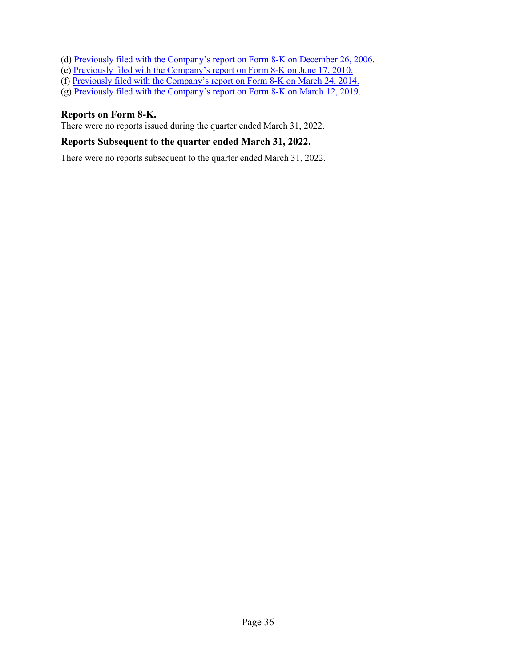- (d) Previously filed with the Company's report on Form 8-K on December 26, 2006.
- (e) Previously filed with the Company's report on Form 8-K on June 17, 2010.
- (f) Previously filed with the Company's report on Form 8-K on March 24, 2014.
- (g) Previously filed with the Company's report on Form 8-K on March 12, 2019.

### **Reports on Form 8-K.**

There were no reports issued during the quarter ended March 31, 2022.

## **Reports Subsequent to the quarter ended March 31, 2022.**

There were no reports subsequent to the quarter ended March 31, 2022.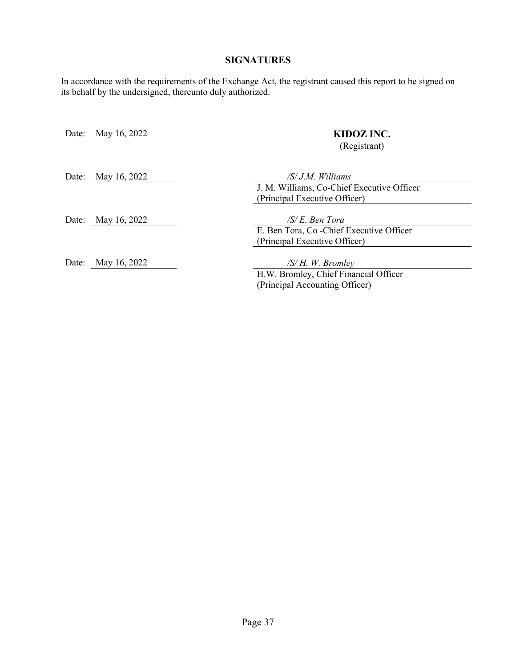## **SIGNATURES**

In accordance with the requirements of the Exchange Act, the registrant caused this report to be signed on its behalf by the undersigned, thereunto duly authorized.

| Date: | May 16, 2022       | KIDOZ INC.                                 |
|-------|--------------------|--------------------------------------------|
|       |                    | (Registrant)                               |
|       | Date: May 16, 2022 | /S/ J.M. Williams                          |
|       |                    | J. M. Williams, Co-Chief Executive Officer |
|       |                    | (Principal Executive Officer)              |
|       |                    |                                            |
|       | Date: May 16, 2022 | $/S/E$ . Ben Tora                          |
|       |                    | E. Ben Tora, Co-Chief Executive Officer    |
|       |                    | (Principal Executive Officer)              |
|       |                    |                                            |
| Date: | May 16, 2022       | $/S/H.$ W. Bromley                         |
|       |                    | H.W. Bromley, Chief Financial Officer      |

(Principal Accounting Officer)

Page 37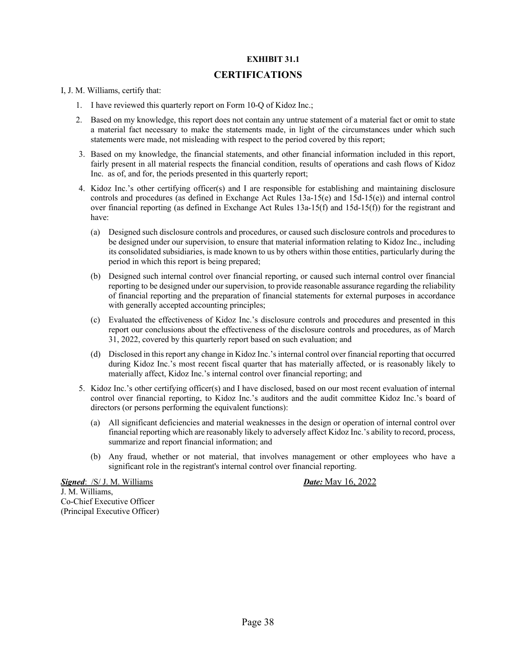#### **EXHIBIT 31.1**

#### **CERTIFICATIONS**

I, J. M. Williams, certify that:

- 1. I have reviewed this quarterly report on Form 10-Q of Kidoz Inc.;
- 2. Based on my knowledge, this report does not contain any untrue statement of a material fact or omit to state a material fact necessary to make the statements made, in light of the circumstances under which such statements were made, not misleading with respect to the period covered by this report;
- 3. Based on my knowledge, the financial statements, and other financial information included in this report, fairly present in all material respects the financial condition, results of operations and cash flows of Kidoz Inc. as of, and for, the periods presented in this quarterly report;
- 4. Kidoz Inc.'s other certifying officer(s) and I are responsible for establishing and maintaining disclosure controls and procedures (as defined in Exchange Act Rules 13a-15(e) and 15d-15(e)) and internal control over financial reporting (as defined in Exchange Act Rules 13a-15(f) and 15d-15(f)) for the registrant and have:
	- (a) Designed such disclosure controls and procedures, or caused such disclosure controls and procedures to be designed under our supervision, to ensure that material information relating to Kidoz Inc., including its consolidated subsidiaries, is made known to us by others within those entities, particularly during the period in which this report is being prepared;
	- (b) Designed such internal control over financial reporting, or caused such internal control over financial reporting to be designed under our supervision, to provide reasonable assurance regarding the reliability of financial reporting and the preparation of financial statements for external purposes in accordance with generally accepted accounting principles;
	- (c) Evaluated the effectiveness of Kidoz Inc.'s disclosure controls and procedures and presented in this report our conclusions about the effectiveness of the disclosure controls and procedures, as of March 31, 2022, covered by this quarterly report based on such evaluation; and
	- (d) Disclosed in this report any change in Kidoz Inc.'s internal control over financial reporting that occurred during Kidoz Inc.'s most recent fiscal quarter that has materially affected, or is reasonably likely to materially affect, Kidoz Inc.'s internal control over financial reporting; and
- 5. Kidoz Inc.'s other certifying officer(s) and I have disclosed, based on our most recent evaluation of internal control over financial reporting, to Kidoz Inc.'s auditors and the audit committee Kidoz Inc.'s board of directors (or persons performing the equivalent functions):
	- (a) All significant deficiencies and material weaknesses in the design or operation of internal control over financial reporting which are reasonably likely to adversely affect Kidoz Inc.'s ability to record, process, summarize and report financial information; and
	- (b) Any fraud, whether or not material, that involves management or other employees who have a significant role in the registrant's internal control over financial reporting.

*Signed*: /S/ J. M. Williams *Date:* May 16, 2022 J. M. Williams, Co-Chief Executive Officer (Principal Executive Officer)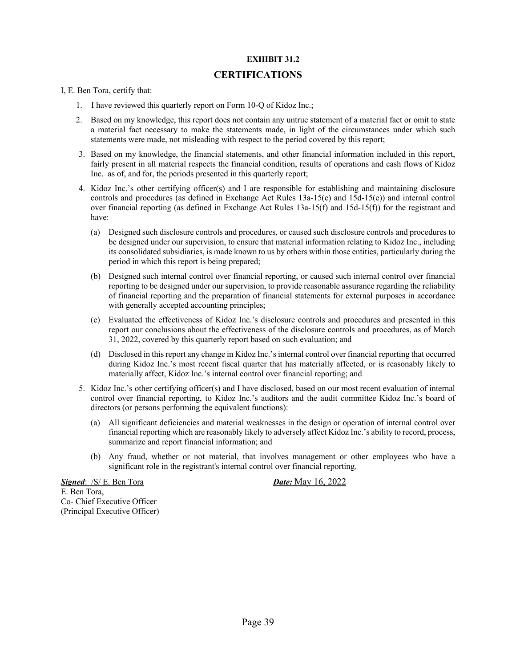#### **EXHIBIT 31.2**

#### **CERTIFICATIONS**

I, E. Ben Tora, certify that:

- 1. I have reviewed this quarterly report on Form 10-Q of Kidoz Inc.;
- 2. Based on my knowledge, this report does not contain any untrue statement of a material fact or omit to state a material fact necessary to make the statements made, in light of the circumstances under which such statements were made, not misleading with respect to the period covered by this report;
- 3. Based on my knowledge, the financial statements, and other financial information included in this report, fairly present in all material respects the financial condition, results of operations and cash flows of Kidoz Inc. as of, and for, the periods presented in this quarterly report;
- 4. Kidoz Inc.'s other certifying officer(s) and I are responsible for establishing and maintaining disclosure controls and procedures (as defined in Exchange Act Rules 13a-15(e) and 15d-15(e)) and internal control over financial reporting (as defined in Exchange Act Rules 13a-15(f) and 15d-15(f)) for the registrant and have:
	- (a) Designed such disclosure controls and procedures, or caused such disclosure controls and procedures to be designed under our supervision, to ensure that material information relating to Kidoz Inc., including its consolidated subsidiaries, is made known to us by others within those entities, particularly during the period in which this report is being prepared;
	- (b) Designed such internal control over financial reporting, or caused such internal control over financial reporting to be designed under our supervision, to provide reasonable assurance regarding the reliability of financial reporting and the preparation of financial statements for external purposes in accordance with generally accepted accounting principles;
	- (c) Evaluated the effectiveness of Kidoz Inc.'s disclosure controls and procedures and presented in this report our conclusions about the effectiveness of the disclosure controls and procedures, as of March 31, 2022, covered by this quarterly report based on such evaluation; and
	- (d) Disclosed in this report any change in Kidoz Inc.'s internal control over financial reporting that occurred during Kidoz Inc.'s most recent fiscal quarter that has materially affected, or is reasonably likely to materially affect, Kidoz Inc.'s internal control over financial reporting; and
- 5. Kidoz Inc.'s other certifying officer(s) and I have disclosed, based on our most recent evaluation of internal control over financial reporting, to Kidoz Inc.'s auditors and the audit committee Kidoz Inc.'s board of directors (or persons performing the equivalent functions):
	- (a) All significant deficiencies and material weaknesses in the design or operation of internal control over financial reporting which are reasonably likely to adversely affect Kidoz Inc.'s ability to record, process, summarize and report financial information; and
	- (b) Any fraud, whether or not material, that involves management or other employees who have a significant role in the registrant's internal control over financial reporting.

*Signed*: /S/ E. Ben Tora *Date:* May 16, 2022 E. Ben Tora, Co- Chief Executive Officer (Principal Executive Officer)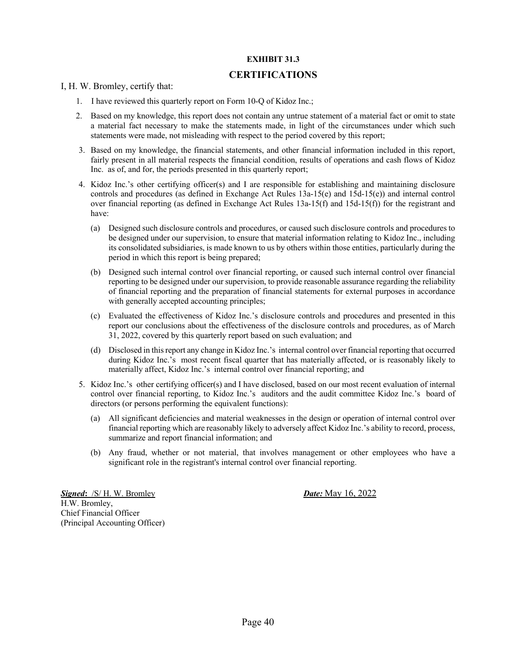#### **EXHIBIT 31.3**

#### **CERTIFICATIONS**

I, H. W. Bromley, certify that:

- 1. I have reviewed this quarterly report on Form 10-Q of Kidoz Inc.;
- 2. Based on my knowledge, this report does not contain any untrue statement of a material fact or omit to state a material fact necessary to make the statements made, in light of the circumstances under which such statements were made, not misleading with respect to the period covered by this report;
- 3. Based on my knowledge, the financial statements, and other financial information included in this report, fairly present in all material respects the financial condition, results of operations and cash flows of Kidoz Inc. as of, and for, the periods presented in this quarterly report;
- 4. Kidoz Inc.'s other certifying officer(s) and I are responsible for establishing and maintaining disclosure controls and procedures (as defined in Exchange Act Rules 13a-15(e) and 15d-15(e)) and internal control over financial reporting (as defined in Exchange Act Rules 13a-15(f) and 15d-15(f)) for the registrant and have:
	- (a) Designed such disclosure controls and procedures, or caused such disclosure controls and procedures to be designed under our supervision, to ensure that material information relating to Kidoz Inc., including its consolidated subsidiaries, is made known to us by others within those entities, particularly during the period in which this report is being prepared;
	- (b) Designed such internal control over financial reporting, or caused such internal control over financial reporting to be designed under our supervision, to provide reasonable assurance regarding the reliability of financial reporting and the preparation of financial statements for external purposes in accordance with generally accepted accounting principles;
	- (c) Evaluated the effectiveness of Kidoz Inc.'s disclosure controls and procedures and presented in this report our conclusions about the effectiveness of the disclosure controls and procedures, as of March 31, 2022, covered by this quarterly report based on such evaluation; and
	- (d) Disclosed in this report any change in Kidoz Inc.'s internal control over financial reporting that occurred during Kidoz Inc.'s most recent fiscal quarter that has materially affected, or is reasonably likely to materially affect, Kidoz Inc.'s internal control over financial reporting; and
- 5. Kidoz Inc.'s other certifying officer(s) and I have disclosed, based on our most recent evaluation of internal control over financial reporting, to Kidoz Inc.'s auditors and the audit committee Kidoz Inc.'s board of directors (or persons performing the equivalent functions):
	- (a) All significant deficiencies and material weaknesses in the design or operation of internal control over financial reporting which are reasonably likely to adversely affect Kidoz Inc.'s ability to record, process, summarize and report financial information; and
	- (b) Any fraud, whether or not material, that involves management or other employees who have a significant role in the registrant's internal control over financial reporting.

*Signed***:** /S/ H. W. Bromley *Date:* May 16, 2022 H.W. Bromley, Chief Financial Officer (Principal Accounting Officer)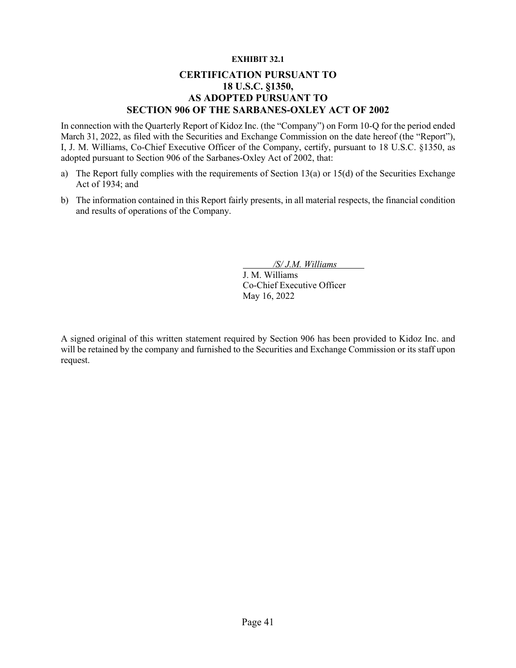#### **EXHIBIT 32.1**

### **CERTIFICATION PURSUANT TO 18 U.S.C. §1350, AS ADOPTED PURSUANT TO SECTION 906 OF THE SARBANES-OXLEY ACT OF 2002**

In connection with the Quarterly Report of Kidoz Inc. (the "Company") on Form 10-Q for the period ended March 31, 2022, as filed with the Securities and Exchange Commission on the date hereof (the "Report"), I, J. M. Williams, Co-Chief Executive Officer of the Company, certify, pursuant to 18 U.S.C. §1350, as adopted pursuant to Section 906 of the Sarbanes-Oxley Act of 2002, that:

- a) The Report fully complies with the requirements of Section 13(a) or 15(d) of the Securities Exchange Act of 1934; and
- b) The information contained in this Report fairly presents, in all material respects, the financial condition and results of operations of the Company.

*/S/ J.M. Williams*

J. M. Williams Co-Chief Executive Officer May 16, 2022

A signed original of this written statement required by Section 906 has been provided to Kidoz Inc. and will be retained by the company and furnished to the Securities and Exchange Commission or its staff upon request.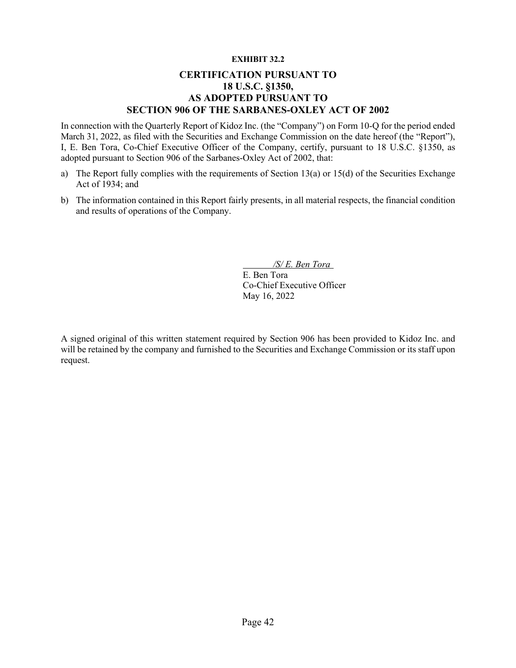#### **EXHIBIT 32.2**

### **CERTIFICATION PURSUANT TO 18 U.S.C. §1350, AS ADOPTED PURSUANT TO SECTION 906 OF THE SARBANES-OXLEY ACT OF 2002**

In connection with the Quarterly Report of Kidoz Inc. (the "Company") on Form 10-Q for the period ended March 31, 2022, as filed with the Securities and Exchange Commission on the date hereof (the "Report"), I, E. Ben Tora, Co-Chief Executive Officer of the Company, certify, pursuant to 18 U.S.C. §1350, as adopted pursuant to Section 906 of the Sarbanes-Oxley Act of 2002, that:

- a) The Report fully complies with the requirements of Section 13(a) or 15(d) of the Securities Exchange Act of 1934; and
- b) The information contained in this Report fairly presents, in all material respects, the financial condition and results of operations of the Company.

*/S/ E. Ben Tora* E. Ben Tora Co-Chief Executive Officer

A signed original of this written statement required by Section 906 has been provided to Kidoz Inc. and will be retained by the company and furnished to the Securities and Exchange Commission or its staff upon request.

May 16, 2022